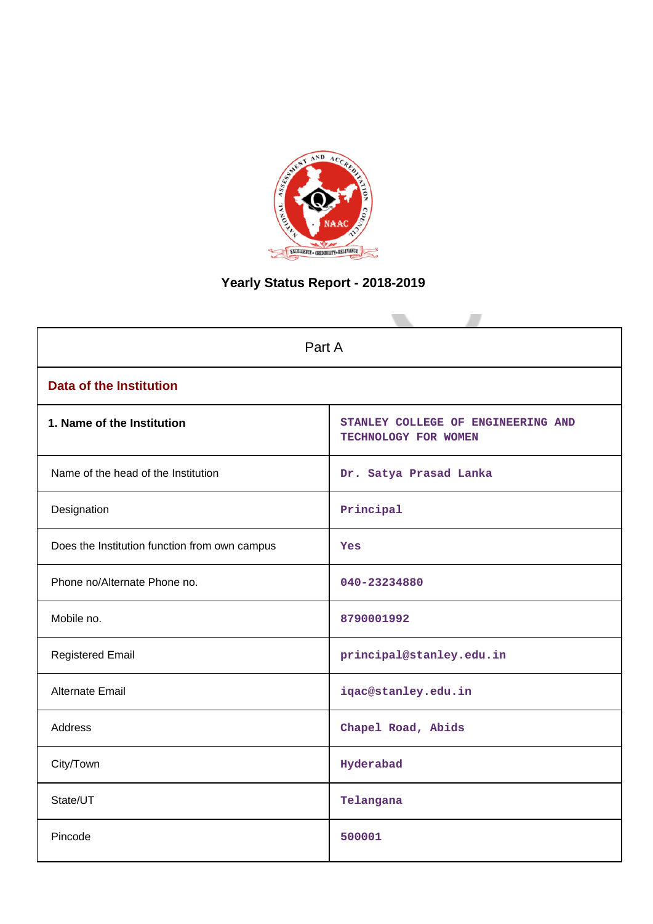

# **Yearly Status Report - 2018-2019**

| Part A                                        |                                                            |  |  |  |
|-----------------------------------------------|------------------------------------------------------------|--|--|--|
| <b>Data of the Institution</b>                |                                                            |  |  |  |
| 1. Name of the Institution                    | STANLEY COLLEGE OF ENGINEERING AND<br>TECHNOLOGY FOR WOMEN |  |  |  |
| Name of the head of the Institution           | Dr. Satya Prasad Lanka                                     |  |  |  |
| Designation                                   | Principal                                                  |  |  |  |
| Does the Institution function from own campus | Yes                                                        |  |  |  |
| Phone no/Alternate Phone no.                  | 040-23234880                                               |  |  |  |
| Mobile no.                                    | 8790001992                                                 |  |  |  |
| <b>Registered Email</b>                       | principal@stanley.edu.in                                   |  |  |  |
| <b>Alternate Email</b>                        | iqac@stanley.edu.in                                        |  |  |  |
| <b>Address</b>                                | Chapel Road, Abids                                         |  |  |  |
| City/Town                                     | Hyderabad                                                  |  |  |  |
| State/UT                                      | Telangana                                                  |  |  |  |
| Pincode                                       | 500001                                                     |  |  |  |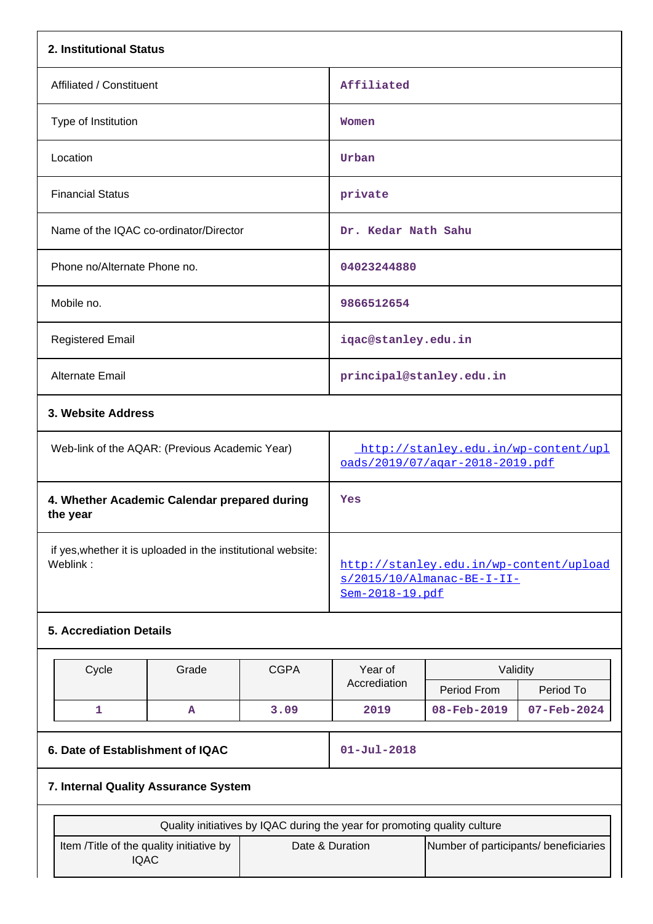| 2. Institutional Status                                                                                                              |                                      |             |                                                                                          |                                       |             |  |
|--------------------------------------------------------------------------------------------------------------------------------------|--------------------------------------|-------------|------------------------------------------------------------------------------------------|---------------------------------------|-------------|--|
| Affiliated / Constituent                                                                                                             |                                      |             | Affiliated                                                                               |                                       |             |  |
| Type of Institution                                                                                                                  |                                      |             | Women                                                                                    |                                       |             |  |
| Location                                                                                                                             |                                      |             |                                                                                          |                                       |             |  |
| <b>Financial Status</b>                                                                                                              |                                      |             | private                                                                                  |                                       |             |  |
| Name of the IQAC co-ordinator/Director                                                                                               |                                      |             | Dr. Kedar Nath Sahu                                                                      |                                       |             |  |
| Phone no/Alternate Phone no.                                                                                                         |                                      |             | 04023244880                                                                              |                                       |             |  |
| Mobile no.                                                                                                                           |                                      |             | 9866512654                                                                               |                                       |             |  |
| <b>Registered Email</b>                                                                                                              |                                      |             |                                                                                          | iqac@stanley.edu.in                   |             |  |
| <b>Alternate Email</b>                                                                                                               |                                      |             | principal@stanley.edu.in                                                                 |                                       |             |  |
| 3. Website Address                                                                                                                   |                                      |             |                                                                                          |                                       |             |  |
| Web-link of the AQAR: (Previous Academic Year)                                                                                       |                                      |             | http://stanley.edu.in/wp-content/upl<br>oads/2019/07/agar-2018-2019.pdf                  |                                       |             |  |
| 4. Whether Academic Calendar prepared during<br>the year                                                                             |                                      |             | Yes                                                                                      |                                       |             |  |
| if yes, whether it is uploaded in the institutional website:<br>Weblink:                                                             |                                      |             | http://stanley.edu.in/wp-content/upload<br>s/2015/10/Almanac-BE-I-II-<br>Sem-2018-19.pdf |                                       |             |  |
| <b>5. Accrediation Details</b>                                                                                                       |                                      |             |                                                                                          |                                       |             |  |
| Cycle                                                                                                                                | Grade                                | <b>CGPA</b> | Year of                                                                                  | Validity                              |             |  |
|                                                                                                                                      |                                      |             | Accrediation                                                                             | Period From                           | Period To   |  |
| $\mathbf{1}$                                                                                                                         | A                                    | 3.09        | 2019                                                                                     | 08-Feb-2019                           | 07-Feb-2024 |  |
| 6. Date of Establishment of IQAC                                                                                                     |                                      |             | $01 - Jul - 2018$                                                                        |                                       |             |  |
|                                                                                                                                      | 7. Internal Quality Assurance System |             |                                                                                          |                                       |             |  |
|                                                                                                                                      |                                      |             |                                                                                          |                                       |             |  |
| Quality initiatives by IQAC during the year for promoting quality culture<br>Item /Title of the quality initiative by<br><b>IQAC</b> |                                      |             | Date & Duration                                                                          | Number of participants/ beneficiaries |             |  |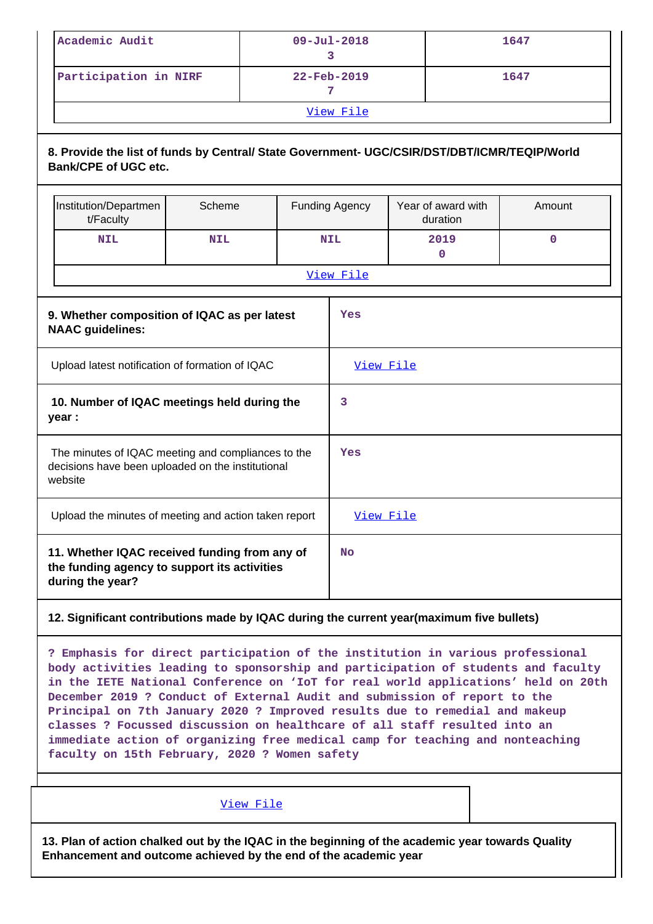| Academic Audit        | $09 - \text{Jul} - 2018$ | 1647 |  |  |
|-----------------------|--------------------------|------|--|--|
| Participation in NIRF | $22$ -Feb-2019           | 1647 |  |  |
| View File             |                          |      |  |  |

## **8. Provide the list of funds by Central/ State Government- UGC/CSIR/DST/DBT/ICMR/TEQIP/World Bank/CPE of UGC etc.**

|                                                                                                                    | Institution/Departmen<br>t/Faculty                                                                                | Scheme                                       |           | Funding Agency | Year of award with<br>duration | Amount |
|--------------------------------------------------------------------------------------------------------------------|-------------------------------------------------------------------------------------------------------------------|----------------------------------------------|-----------|----------------|--------------------------------|--------|
|                                                                                                                    | <b>NIL</b>                                                                                                        | <b>NIL</b>                                   |           | <b>NIL</b>     | 2019<br>$\mathbf 0$            | 0      |
|                                                                                                                    |                                                                                                                   | View File                                    |           |                |                                |        |
|                                                                                                                    | <b>NAAC</b> guidelines:                                                                                           | 9. Whether composition of IQAC as per latest |           | <b>Yes</b>     |                                |        |
| Upload latest notification of formation of IQAC                                                                    |                                                                                                                   |                                              | View File |                |                                |        |
| 10. Number of IQAC meetings held during the<br>year :                                                              |                                                                                                                   |                                              | 3         |                |                                |        |
| The minutes of IQAC meeting and compliances to the<br>decisions have been uploaded on the institutional<br>website |                                                                                                                   |                                              |           | Yes            |                                |        |
| Upload the minutes of meeting and action taken report                                                              |                                                                                                                   |                                              | View File |                |                                |        |
|                                                                                                                    | 11. Whether IQAC received funding from any of<br>the funding agency to support its activities<br>during the year? |                                              |           | <b>No</b>      |                                |        |

## **12. Significant contributions made by IQAC during the current year(maximum five bullets)**

**? Emphasis for direct participation of the institution in various professional body activities leading to sponsorship and participation of students and faculty in the IETE National Conference on 'IoT for real world applications' held on 20th December 2019 ? Conduct of External Audit and submission of report to the Principal on 7th January 2020 ? Improved results due to remedial and makeup classes ? Focussed discussion on healthcare of all staff resulted into an immediate action of organizing free medical camp for teaching and nonteaching faculty on 15th February, 2020 ? Women safety**

[View File](https://assessmentonline.naac.gov.in/public/Postacc/Contribution/4262_Contribution.xlsx)

**13. Plan of action chalked out by the IQAC in the beginning of the academic year towards Quality Enhancement and outcome achieved by the end of the academic year**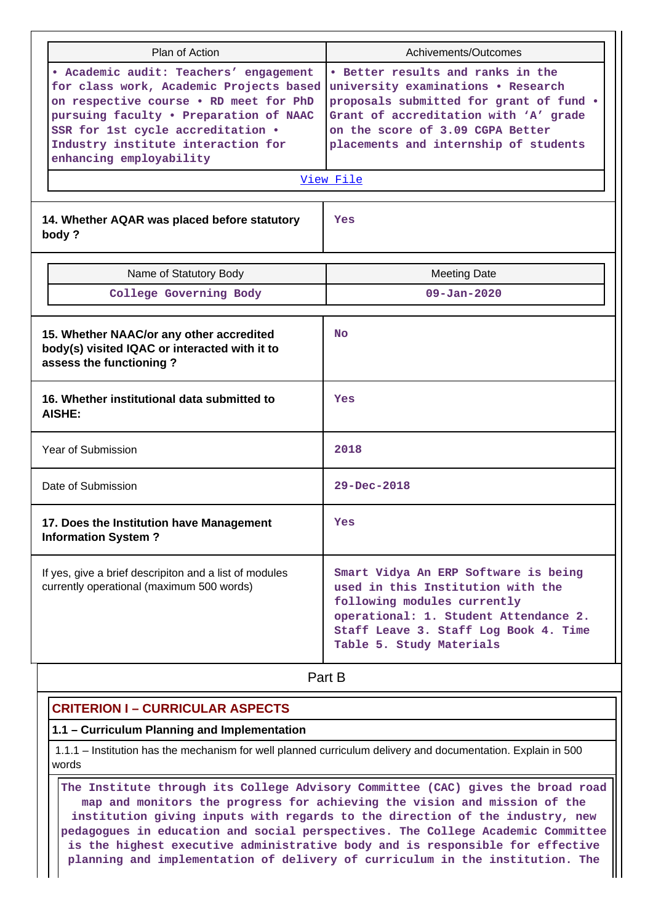| Plan of Action |                                                                                                                                                                                                                                                                             | Achivements/Outcomes                                                                                                                                                                                                                                  |
|----------------|-----------------------------------------------------------------------------------------------------------------------------------------------------------------------------------------------------------------------------------------------------------------------------|-------------------------------------------------------------------------------------------------------------------------------------------------------------------------------------------------------------------------------------------------------|
|                | · Academic audit: Teachers' engagement<br>for class work, Academic Projects based<br>on respective course . RD meet for PhD<br>pursuing faculty . Preparation of NAAC<br>SSR for 1st cycle accreditation .<br>Industry institute interaction for<br>enhancing employability | • Better results and ranks in the<br>university examinations . Research<br>proposals submitted for grant of fund .<br>Grant of accreditation with 'A' grade<br>on the score of 3.09 CGPA Better<br>placements and internship of students<br>View File |
|                | 14. Whether AQAR was placed before statutory<br>body?                                                                                                                                                                                                                       | Yes                                                                                                                                                                                                                                                   |
|                | Name of Statutory Body                                                                                                                                                                                                                                                      | <b>Meeting Date</b>                                                                                                                                                                                                                                   |
|                | College Governing Body                                                                                                                                                                                                                                                      | $09 - Jan - 2020$                                                                                                                                                                                                                                     |
|                | 15. Whether NAAC/or any other accredited<br>body(s) visited IQAC or interacted with it to<br>assess the functioning?                                                                                                                                                        | No                                                                                                                                                                                                                                                    |
|                | 16. Whether institutional data submitted to<br><b>AISHE:</b>                                                                                                                                                                                                                | Yes                                                                                                                                                                                                                                                   |
|                | Year of Submission                                                                                                                                                                                                                                                          | 2018                                                                                                                                                                                                                                                  |
|                | Date of Submission                                                                                                                                                                                                                                                          | $29 - Dec - 2018$                                                                                                                                                                                                                                     |
|                | 17. Does the Institution have Management<br><b>Information System?</b>                                                                                                                                                                                                      | Yes                                                                                                                                                                                                                                                   |
|                | If yes, give a brief descripiton and a list of modules<br>currently operational (maximum 500 words)                                                                                                                                                                         | Smart Vidya An ERP Software is being<br>used in this Institution with the<br>following modules currently<br>operational: 1. Student Attendance 2.<br>Staff Leave 3. Staff Log Book 4. Time<br>Table 5. Study Materials                                |
|                |                                                                                                                                                                                                                                                                             | Part B                                                                                                                                                                                                                                                |

#### **CRITERION I – CURRICULAR ASPECTS**

#### **1.1 – Curriculum Planning and Implementation**

 1.1.1 – Institution has the mechanism for well planned curriculum delivery and documentation. Explain in 500 words

 **The Institute through its College Advisory Committee (CAC) gives the broad road map and monitors the progress for achieving the vision and mission of the institution giving inputs with regards to the direction of the industry, new pedagogues in education and social perspectives. The College Academic Committee is the highest executive administrative body and is responsible for effective planning and implementation of delivery of curriculum in the institution. The**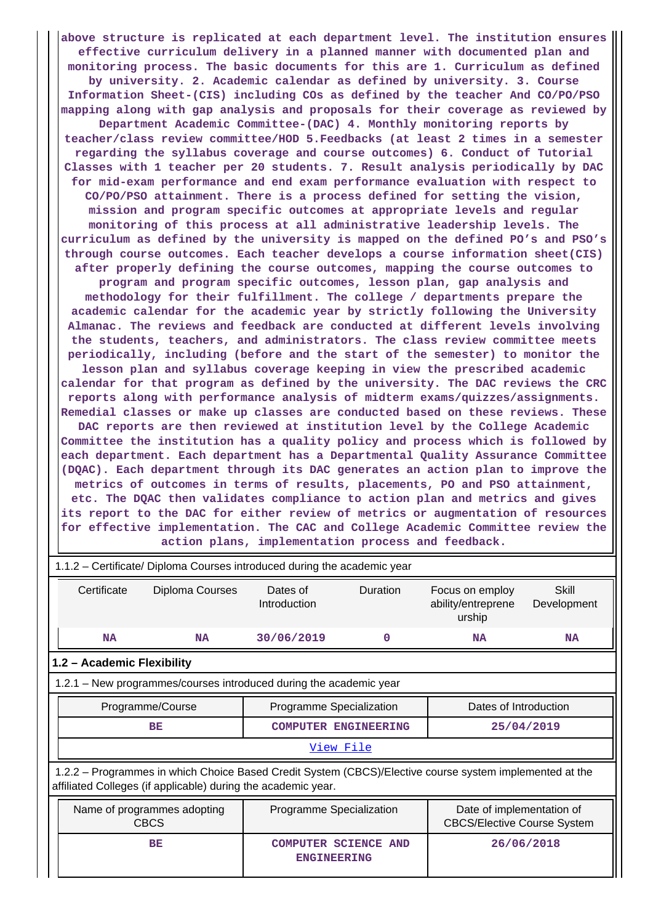**above structure is replicated at each department level. The institution ensures effective curriculum delivery in a planned manner with documented plan and monitoring process. The basic documents for this are 1. Curriculum as defined by university. 2. Academic calendar as defined by university. 3. Course Information Sheet-(CIS) including COs as defined by the teacher And CO/PO/PSO mapping along with gap analysis and proposals for their coverage as reviewed by Department Academic Committee-(DAC) 4. Monthly monitoring reports by teacher/class review committee/HOD 5.Feedbacks (at least 2 times in a semester regarding the syllabus coverage and course outcomes) 6. Conduct of Tutorial Classes with 1 teacher per 20 students. 7. Result analysis periodically by DAC for mid-exam performance and end exam performance evaluation with respect to CO/PO/PSO attainment. There is a process defined for setting the vision, mission and program specific outcomes at appropriate levels and regular monitoring of this process at all administrative leadership levels. The curriculum as defined by the university is mapped on the defined PO's and PSO's through course outcomes. Each teacher develops a course information sheet(CIS) after properly defining the course outcomes, mapping the course outcomes to program and program specific outcomes, lesson plan, gap analysis and methodology for their fulfillment. The college / departments prepare the academic calendar for the academic year by strictly following the University Almanac. The reviews and feedback are conducted at different levels involving the students, teachers, and administrators. The class review committee meets periodically, including (before and the start of the semester) to monitor the lesson plan and syllabus coverage keeping in view the prescribed academic calendar for that program as defined by the university. The DAC reviews the CRC reports along with performance analysis of midterm exams/quizzes/assignments. Remedial classes or make up classes are conducted based on these reviews. These DAC reports are then reviewed at institution level by the College Academic Committee the institution has a quality policy and process which is followed by each department. Each department has a Departmental Quality Assurance Committee (DQAC). Each department through its DAC generates an action plan to improve the metrics of outcomes in terms of results, placements, PO and PSO attainment, etc. The DQAC then validates compliance to action plan and metrics and gives its report to the DAC for either review of metrics or augmentation of resources for effective implementation. The CAC and College Academic Committee review the action plans, implementation process and feedback.**

| 1.1.2 – Certificate/ Diploma Courses introduced during the academic year                                                                                                 |                                                                    |                                               |            |                                                                 |                      |  |
|--------------------------------------------------------------------------------------------------------------------------------------------------------------------------|--------------------------------------------------------------------|-----------------------------------------------|------------|-----------------------------------------------------------------|----------------------|--|
| Certificate                                                                                                                                                              | Diploma Courses                                                    | Dates of<br>Introduction                      | Duration   | Focus on employ<br>ability/entreprene<br>urship                 | Skill<br>Development |  |
| <b>NA</b>                                                                                                                                                                | <b>NA</b>                                                          | 30/06/2019                                    | 0          | <b>NA</b>                                                       | <b>NA</b>            |  |
| 1.2 - Academic Flexibility                                                                                                                                               |                                                                    |                                               |            |                                                                 |                      |  |
|                                                                                                                                                                          | 1.2.1 - New programmes/courses introduced during the academic year |                                               |            |                                                                 |                      |  |
| Programme/Course                                                                                                                                                         |                                                                    | Programme Specialization                      |            | Dates of Introduction                                           |                      |  |
| <b>BE</b><br><b>COMPUTER ENGINEERING</b>                                                                                                                                 |                                                                    |                                               | 25/04/2019 |                                                                 |                      |  |
|                                                                                                                                                                          |                                                                    |                                               | View File  |                                                                 |                      |  |
| 1.2.2 – Programmes in which Choice Based Credit System (CBCS)/Elective course system implemented at the<br>affiliated Colleges (if applicable) during the academic year. |                                                                    |                                               |            |                                                                 |                      |  |
| Name of programmes adopting<br><b>CBCS</b>                                                                                                                               |                                                                    | Programme Specialization                      |            | Date of implementation of<br><b>CBCS/Elective Course System</b> |                      |  |
|                                                                                                                                                                          | BE                                                                 | <b>COMPUTER SCIENCE</b><br><b>ENGINEERING</b> | <b>AND</b> |                                                                 | 26/06/2018           |  |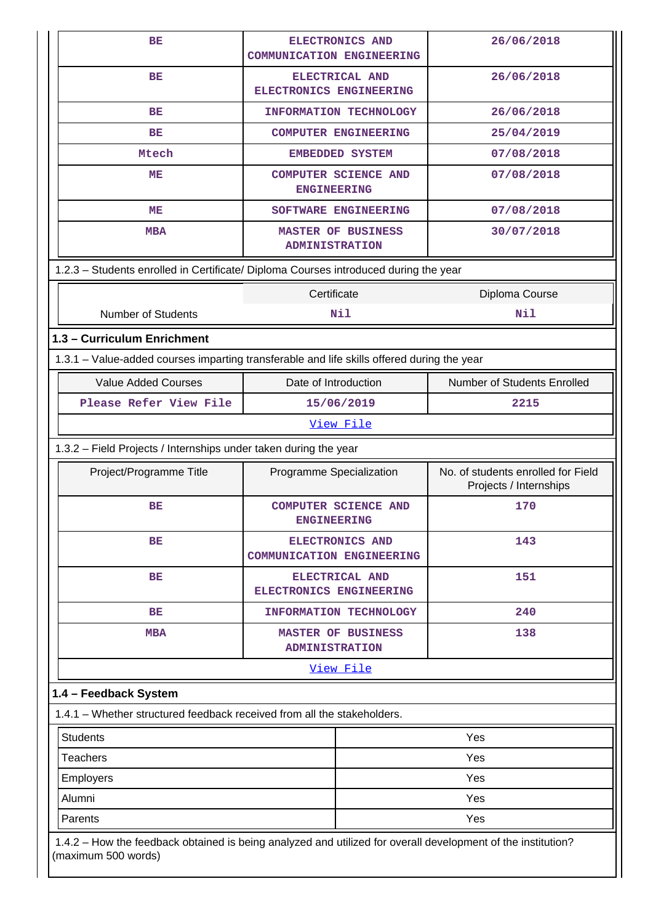| ВE                                                                                         | ELECTRONICS AND                                     | 26/06/2018                                                   |  |  |  |  |
|--------------------------------------------------------------------------------------------|-----------------------------------------------------|--------------------------------------------------------------|--|--|--|--|
|                                                                                            | <b>COMMUNICATION ENGINEERING</b>                    |                                                              |  |  |  |  |
| ВE                                                                                         | ELECTRICAL AND<br>ELECTRONICS ENGINEERING           | 26/06/2018                                                   |  |  |  |  |
| BE                                                                                         | INFORMATION TECHNOLOGY                              | 26/06/2018                                                   |  |  |  |  |
| <b>BE</b>                                                                                  | <b>COMPUTER ENGINEERING</b>                         | 25/04/2019                                                   |  |  |  |  |
| Mtech                                                                                      | <b>EMBEDDED SYSTEM</b>                              | 07/08/2018                                                   |  |  |  |  |
| MЕ                                                                                         | <b>COMPUTER SCIENCE AND</b><br><b>ENGINEERING</b>   | 07/08/2018                                                   |  |  |  |  |
| MЕ                                                                                         | SOFTWARE ENGINEERING                                | 07/08/2018                                                   |  |  |  |  |
| <b>MBA</b>                                                                                 | <b>MASTER OF BUSINESS</b><br><b>ADMINISTRATION</b>  | 30/07/2018                                                   |  |  |  |  |
| 1.2.3 - Students enrolled in Certificate/ Diploma Courses introduced during the year       |                                                     |                                                              |  |  |  |  |
|                                                                                            | Certificate                                         | Diploma Course                                               |  |  |  |  |
| <b>Number of Students</b>                                                                  | Nil                                                 | Nil                                                          |  |  |  |  |
| 1.3 - Curriculum Enrichment                                                                |                                                     |                                                              |  |  |  |  |
| 1.3.1 – Value-added courses imparting transferable and life skills offered during the year |                                                     |                                                              |  |  |  |  |
| <b>Value Added Courses</b><br>Date of Introduction<br>Number of Students Enrolled          |                                                     |                                                              |  |  |  |  |
| Please Refer View File                                                                     | 15/06/2019                                          | 2215                                                         |  |  |  |  |
|                                                                                            | <u>View File</u>                                    |                                                              |  |  |  |  |
| 1.3.2 - Field Projects / Internships under taken during the year                           |                                                     |                                                              |  |  |  |  |
|                                                                                            |                                                     |                                                              |  |  |  |  |
| Project/Programme Title                                                                    | Programme Specialization                            | No. of students enrolled for Field<br>Projects / Internships |  |  |  |  |
| ВE                                                                                         | <b>COMPUTER SCIENCE AND</b><br><b>ENGINEERING</b>   | 170                                                          |  |  |  |  |
| ВE                                                                                         | ELECTRONICS AND<br><b>COMMUNICATION ENGINEERING</b> | 143                                                          |  |  |  |  |
| ВE                                                                                         | ELECTRICAL AND<br>ELECTRONICS ENGINEERING           | 151                                                          |  |  |  |  |
| ВE                                                                                         | INFORMATION TECHNOLOGY                              | 240                                                          |  |  |  |  |
| <b>MBA</b>                                                                                 | <b>MASTER OF BUSINESS</b><br><b>ADMINISTRATION</b>  | 138                                                          |  |  |  |  |
|                                                                                            | View File                                           |                                                              |  |  |  |  |
| 1.4 - Feedback System                                                                      |                                                     |                                                              |  |  |  |  |
| 1.4.1 - Whether structured feedback received from all the stakeholders.                    |                                                     |                                                              |  |  |  |  |
| <b>Students</b>                                                                            |                                                     | Yes                                                          |  |  |  |  |
| <b>Teachers</b>                                                                            |                                                     | Yes                                                          |  |  |  |  |
| Employers                                                                                  |                                                     | Yes                                                          |  |  |  |  |
| Alumni                                                                                     |                                                     | Yes                                                          |  |  |  |  |
| Parents                                                                                    |                                                     | Yes                                                          |  |  |  |  |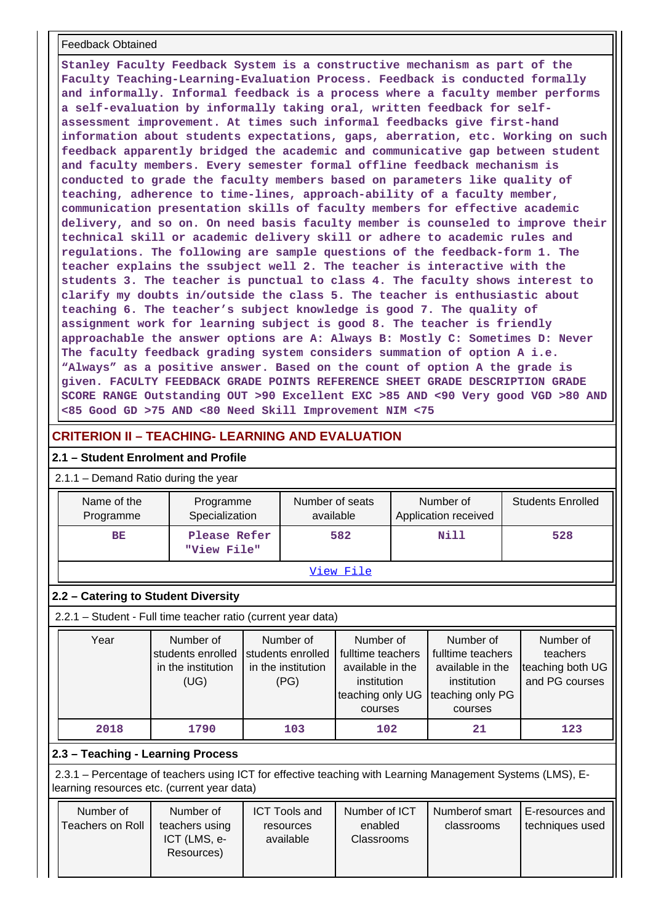#### Feedback Obtained

**Stanley Faculty Feedback System is a constructive mechanism as part of the Faculty Teaching-Learning-Evaluation Process. Feedback is conducted formally and informally. Informal feedback is a process where a faculty member performs a self-evaluation by informally taking oral, written feedback for selfassessment improvement. At times such informal feedbacks give first-hand information about students expectations, gaps, aberration, etc. Working on such feedback apparently bridged the academic and communicative gap between student and faculty members. Every semester formal offline feedback mechanism is conducted to grade the faculty members based on parameters like quality of teaching, adherence to time-lines, approach-ability of a faculty member, communication presentation skills of faculty members for effective academic delivery, and so on. On need basis faculty member is counseled to improve their technical skill or academic delivery skill or adhere to academic rules and regulations. The following are sample questions of the feedback-form 1. The teacher explains the ssubject well 2. The teacher is interactive with the students 3. The teacher is punctual to class 4. The faculty shows interest to clarify my doubts in/outside the class 5. The teacher is enthusiastic about teaching 6. The teacher's subject knowledge is good 7. The quality of assignment work for learning subject is good 8. The teacher is friendly approachable the answer options are A: Always B: Mostly C: Sometimes D: Never The faculty feedback grading system considers summation of option A i.e. "Always" as a positive answer. Based on the count of option A the grade is given. FACULTY FEEDBACK GRADE POINTS REFERENCE SHEET GRADE DESCRIPTION GRADE SCORE RANGE Outstanding OUT >90 Excellent EXC >85 AND <90 Very good VGD >80 AND <85 Good GD >75 AND <80 Need Skill Improvement NIM <75**

## **CRITERION II – TEACHING- LEARNING AND EVALUATION**

## **2.1 – Student Enrolment and Profile**

#### 2.1.1 – Demand Ratio during the year

| $2.1.1 -$ Demand Ratio during the year                        |                                                              |  |                                                              |                                                                                                  |      |                                                                                                  |                                                             |
|---------------------------------------------------------------|--------------------------------------------------------------|--|--------------------------------------------------------------|--------------------------------------------------------------------------------------------------|------|--------------------------------------------------------------------------------------------------|-------------------------------------------------------------|
| Name of the<br>Programme                                      | Programme<br>Specialization                                  |  | Number of seats<br>available                                 |                                                                                                  |      | Number of<br>Application received                                                                | <b>Students Enrolled</b>                                    |
| <b>BE</b>                                                     | Please Refer<br>"View File"                                  |  | 582                                                          |                                                                                                  | Nill | 528                                                                                              |                                                             |
|                                                               | <u>View File</u>                                             |  |                                                              |                                                                                                  |      |                                                                                                  |                                                             |
| 2.2 – Catering to Student Diversity                           |                                                              |  |                                                              |                                                                                                  |      |                                                                                                  |                                                             |
| 2.2.1 - Student - Full time teacher ratio (current year data) |                                                              |  |                                                              |                                                                                                  |      |                                                                                                  |                                                             |
| Year                                                          | Number of<br>students enrolled<br>in the institution<br>(UG) |  | Number of<br>students enrolled<br>in the institution<br>(PG) | Number of<br>fulltime teachers<br>available in the<br>institution<br>teaching only UG<br>courses |      | Number of<br>fulltime teachers<br>available in the<br>institution<br>teaching only PG<br>courses | Number of<br>teachers<br>teaching both UG<br>and PG courses |
| 2018                                                          | 1790                                                         |  | 103                                                          | 102                                                                                              |      | 21                                                                                               | 123                                                         |
|                                                               | 2.3 - Teaching - Learning Process                            |  |                                                              |                                                                                                  |      |                                                                                                  |                                                             |

 2.3.1 – Percentage of teachers using ICT for effective teaching with Learning Management Systems (LMS), Elearning resources etc. (current year data)

| Number of<br>Teachers on Roll | Number of<br>teachers using<br>ICT (LMS, e-<br>Resources) | <b>ICT Tools and</b><br>resources<br>available | Number of ICT<br>enabled<br><b>Classrooms</b> | Numberof smart<br>classrooms | E-resources and<br>techniques used |
|-------------------------------|-----------------------------------------------------------|------------------------------------------------|-----------------------------------------------|------------------------------|------------------------------------|
|                               |                                                           |                                                |                                               |                              |                                    |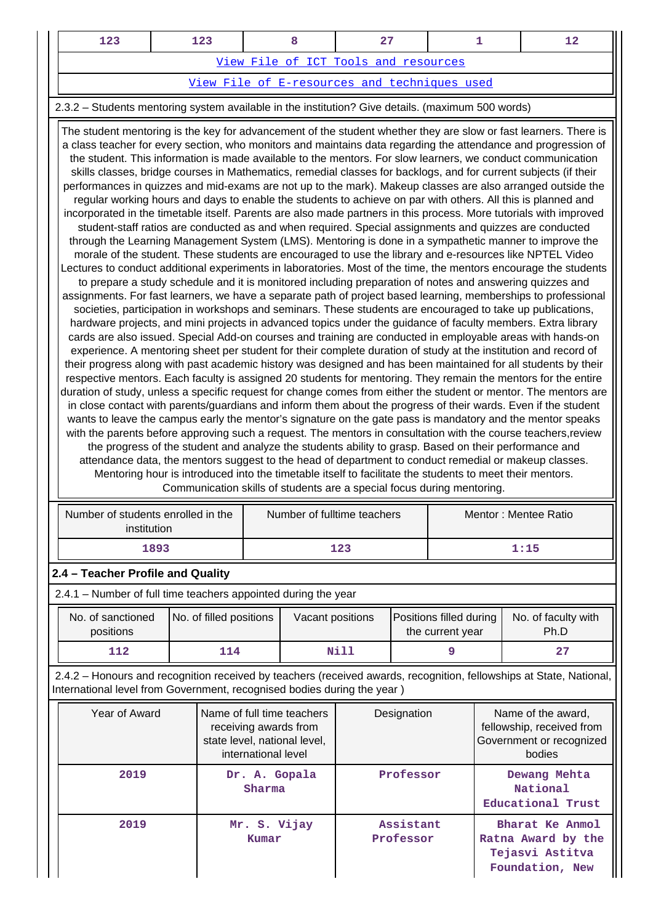| າາ | 123 |                                      |  |
|----|-----|--------------------------------------|--|
|    |     | View File of ICT Tools and resources |  |

[View File of E-resources and techniques used](https://assessmentonline.naac.gov.in/public/Postacc/e_resource/4262_e_resource_1584100927.xlsx)

## 2.3.2 – Students mentoring system available in the institution? Give details. (maximum 500 words)

 The student mentoring is the key for advancement of the student whether they are slow or fast learners. There is a class teacher for every section, who monitors and maintains data regarding the attendance and progression of the student. This information is made available to the mentors. For slow learners, we conduct communication skills classes, bridge courses in Mathematics, remedial classes for backlogs, and for current subjects (if their performances in quizzes and mid-exams are not up to the mark). Makeup classes are also arranged outside the regular working hours and days to enable the students to achieve on par with others. All this is planned and incorporated in the timetable itself. Parents are also made partners in this process. More tutorials with improved student-staff ratios are conducted as and when required. Special assignments and quizzes are conducted through the Learning Management System (LMS). Mentoring is done in a sympathetic manner to improve the morale of the student. These students are encouraged to use the library and e-resources like NPTEL Video Lectures to conduct additional experiments in laboratories. Most of the time, the mentors encourage the students to prepare a study schedule and it is monitored including preparation of notes and answering quizzes and assignments. For fast learners, we have a separate path of project based learning, memberships to professional societies, participation in workshops and seminars. These students are encouraged to take up publications, hardware projects, and mini projects in advanced topics under the guidance of faculty members. Extra library cards are also issued. Special Add-on courses and training are conducted in employable areas with hands-on experience. A mentoring sheet per student for their complete duration of study at the institution and record of their progress along with past academic history was designed and has been maintained for all students by their respective mentors. Each faculty is assigned 20 students for mentoring. They remain the mentors for the entire duration of study, unless a specific request for change comes from either the student or mentor. The mentors are in close contact with parents/guardians and inform them about the progress of their wards. Even if the student wants to leave the campus early the mentor's signature on the gate pass is mandatory and the mentor speaks with the parents before approving such a request. The mentors in consultation with the course teachers,review the progress of the student and analyze the students ability to grasp. Based on their performance and attendance data, the mentors suggest to the head of department to conduct remedial or makeup classes. Mentoring hour is introduced into the timetable itself to facilitate the students to meet their mentors. Communication skills of students are a special focus during mentoring.

| Number of students enrolled in the<br>institution | Number of fulltime teachers | Mentor: Mentee Ratio |  |
|---------------------------------------------------|-----------------------------|----------------------|--|
| 1893                                              | 123                         | 1:15                 |  |

## **2.4 – Teacher Profile and Quality**

| 2.4.1 – Number of full time teachers appointed during the year |                         |                  |                                             |                             |  |  |  |
|----------------------------------------------------------------|-------------------------|------------------|---------------------------------------------|-----------------------------|--|--|--|
| No. of sanctioned<br>positions                                 | No. of filled positions | Vacant positions | Positions filled during<br>the current year | No. of faculty with<br>Ph.D |  |  |  |
| 112                                                            | 114                     | Nill             |                                             | 27                          |  |  |  |

 2.4.2 – Honours and recognition received by teachers (received awards, recognition, fellowships at State, National, International level from Government, recognised bodies during the year )

| Year of Award | Name of full time teachers<br>receiving awards from<br>state level, national level,<br>international level | Designation            | Name of the award,<br>fellowship, received from<br>Government or recognized<br>bodies |
|---------------|------------------------------------------------------------------------------------------------------------|------------------------|---------------------------------------------------------------------------------------|
| 2019          | Dr. A. Gopala<br>Sharma                                                                                    | Professor              | Dewang Mehta<br>National<br>Educational Trust                                         |
| 2019          | Mr. S. Vijay<br>Kumar                                                                                      | Assistant<br>Professor | Bharat Ke Anmol<br>Ratna Award by the<br>Tejasvi Astitva<br>Foundation, New           |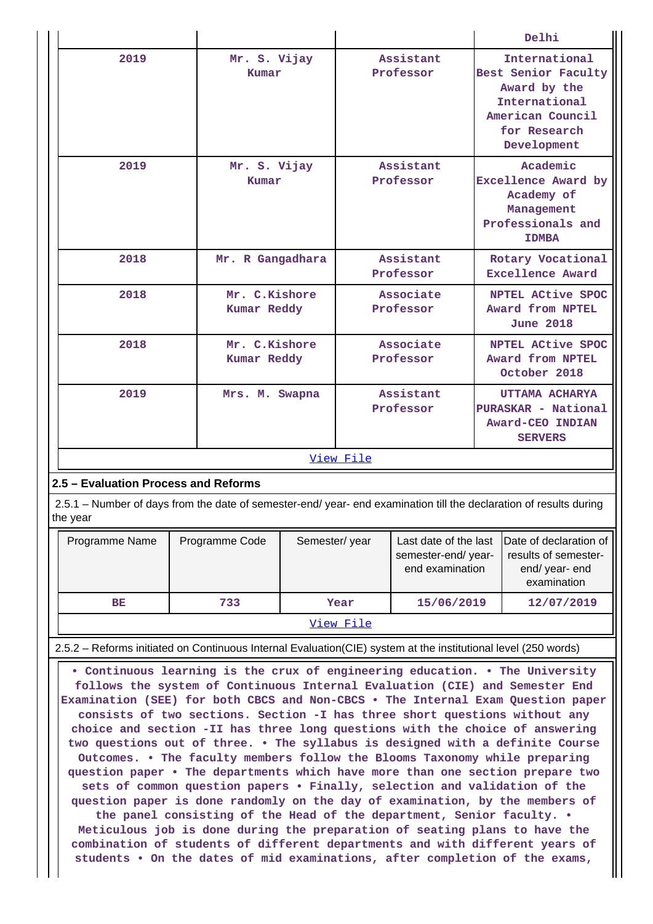|                                                                                                                                |                                     |                        | Delhi                                                                                                                    |  |  |  |  |
|--------------------------------------------------------------------------------------------------------------------------------|-------------------------------------|------------------------|--------------------------------------------------------------------------------------------------------------------------|--|--|--|--|
| 2019                                                                                                                           | Mr. S. Vijay<br>Kumar               | Assistant<br>Professor | International<br>Best Senior Faculty<br>Award by the<br>International<br>American Council<br>for Research<br>Development |  |  |  |  |
| 2019                                                                                                                           | Mr. S. Vijay<br>Kumar               | Assistant<br>Professor | Academic<br>Excellence Award by<br>Academy of<br>Management<br>Professionals and<br><b>IDMBA</b>                         |  |  |  |  |
| 2018                                                                                                                           | Mr. R Gangadhara                    | Assistant<br>Professor | Rotary Vocational<br>Excellence Award                                                                                    |  |  |  |  |
| 2018                                                                                                                           | Mr. C.Kishore<br><b>Kumar Reddy</b> | Associate<br>Professor | NPTEL ACtive SPOC<br>Award from NPTEL<br><b>June 2018</b>                                                                |  |  |  |  |
| 2018                                                                                                                           | Mr. C.Kishore<br>Kumar Reddy        | Associate<br>Professor | NPTEL ACtive SPOC<br>Award from NPTEL<br>October 2018                                                                    |  |  |  |  |
| 2019                                                                                                                           | Mrs. M. Swapna                      | Assistant<br>Professor | UTTAMA ACHARYA<br>PURASKAR - National<br>Award-CEO INDIAN<br><b>SERVERS</b>                                              |  |  |  |  |
|                                                                                                                                | View File                           |                        |                                                                                                                          |  |  |  |  |
| 2.5 - Evaluation Process and Reforms                                                                                           |                                     |                        |                                                                                                                          |  |  |  |  |
| 2.5.1 – Number of days from the date of semester-end/ year- end examination till the declaration of results during<br>the year |                                     |                        |                                                                                                                          |  |  |  |  |

| Programme Name | Programme Code | Semester/year | Last date of the last<br>semester-end/year-<br>end examination | Date of declaration of<br>results of semester-<br>end/year-end<br>examination |
|----------------|----------------|---------------|----------------------------------------------------------------|-------------------------------------------------------------------------------|
| <b>BE</b>      | 733            | Year          | 15/06/2019                                                     | 12/07/2019                                                                    |
|                |                | View File     |                                                                |                                                                               |

2.5.2 – Reforms initiated on Continuous Internal Evaluation(CIE) system at the institutional level (250 words)

 **• Continuous learning is the crux of engineering education. • The University follows the system of Continuous Internal Evaluation (CIE) and Semester End Examination (SEE) for both CBCS and Non-CBCS • The Internal Exam Question paper consists of two sections. Section -I has three short questions without any choice and section -II has three long questions with the choice of answering two questions out of three. • The syllabus is designed with a definite Course Outcomes. • The faculty members follow the Blooms Taxonomy while preparing question paper • The departments which have more than one section prepare two sets of common question papers • Finally, selection and validation of the question paper is done randomly on the day of examination, by the members of the panel consisting of the Head of the department, Senior faculty. • Meticulous job is done during the preparation of seating plans to have the combination of students of different departments and with different years of students • On the dates of mid examinations, after completion of the exams,**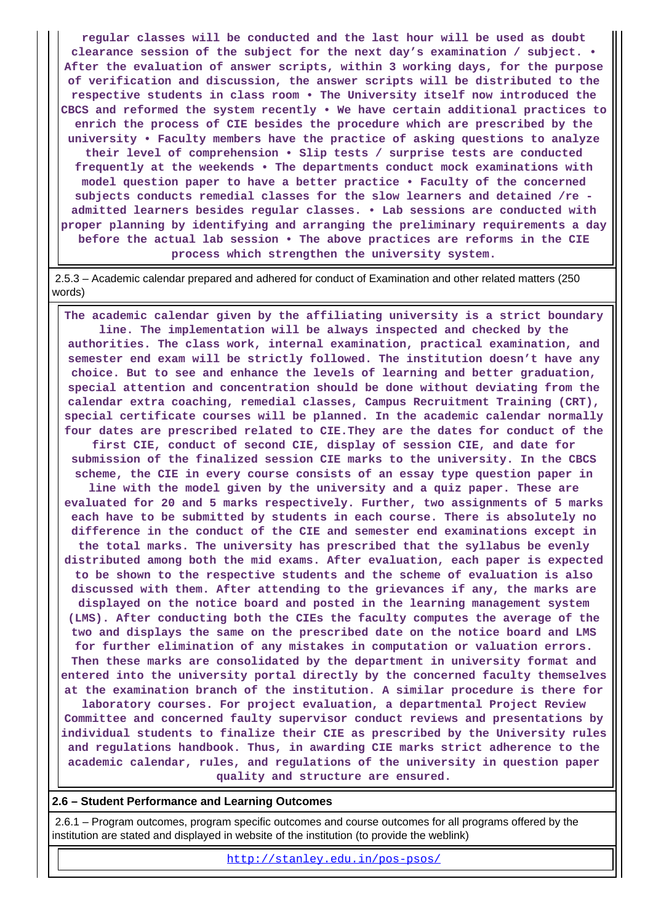**regular classes will be conducted and the last hour will be used as doubt clearance session of the subject for the next day's examination / subject. • After the evaluation of answer scripts, within 3 working days, for the purpose of verification and discussion, the answer scripts will be distributed to the respective students in class room • The University itself now introduced the CBCS and reformed the system recently • We have certain additional practices to enrich the process of CIE besides the procedure which are prescribed by the university • Faculty members have the practice of asking questions to analyze their level of comprehension • Slip tests / surprise tests are conducted frequently at the weekends • The departments conduct mock examinations with model question paper to have a better practice • Faculty of the concerned subjects conducts remedial classes for the slow learners and detained /re admitted learners besides regular classes. • Lab sessions are conducted with proper planning by identifying and arranging the preliminary requirements a day before the actual lab session • The above practices are reforms in the CIE process which strengthen the university system.**

 2.5.3 – Academic calendar prepared and adhered for conduct of Examination and other related matters (250 words)

 **The academic calendar given by the affiliating university is a strict boundary line. The implementation will be always inspected and checked by the authorities. The class work, internal examination, practical examination, and semester end exam will be strictly followed. The institution doesn't have any choice. But to see and enhance the levels of learning and better graduation, special attention and concentration should be done without deviating from the calendar extra coaching, remedial classes, Campus Recruitment Training (CRT), special certificate courses will be planned. In the academic calendar normally four dates are prescribed related to CIE.They are the dates for conduct of the first CIE, conduct of second CIE, display of session CIE, and date for submission of the finalized session CIE marks to the university. In the CBCS scheme, the CIE in every course consists of an essay type question paper in line with the model given by the university and a quiz paper. These are evaluated for 20 and 5 marks respectively. Further, two assignments of 5 marks each have to be submitted by students in each course. There is absolutely no difference in the conduct of the CIE and semester end examinations except in the total marks. The university has prescribed that the syllabus be evenly distributed among both the mid exams. After evaluation, each paper is expected to be shown to the respective students and the scheme of evaluation is also discussed with them. After attending to the grievances if any, the marks are displayed on the notice board and posted in the learning management system (LMS). After conducting both the CIEs the faculty computes the average of the two and displays the same on the prescribed date on the notice board and LMS for further elimination of any mistakes in computation or valuation errors. Then these marks are consolidated by the department in university format and entered into the university portal directly by the concerned faculty themselves at the examination branch of the institution. A similar procedure is there for laboratory courses. For project evaluation, a departmental Project Review Committee and concerned faulty supervisor conduct reviews and presentations by individual students to finalize their CIE as prescribed by the University rules and regulations handbook. Thus, in awarding CIE marks strict adherence to the academic calendar, rules, and regulations of the university in question paper**

**quality and structure are ensured.**

#### **2.6 – Student Performance and Learning Outcomes**

 2.6.1 – Program outcomes, program specific outcomes and course outcomes for all programs offered by the institution are stated and displayed in website of the institution (to provide the weblink)

<http://stanley.edu.in/pos-psos/>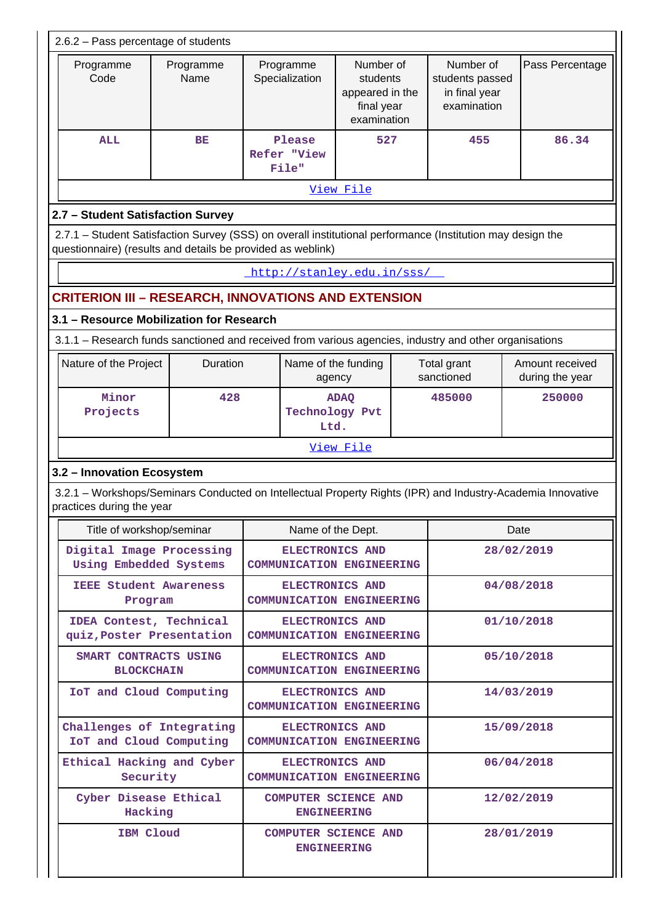| Number of<br>Number of<br>Pass Percentage<br>Programme<br>Programme<br>Programme<br>Code<br>Name<br>Specialization<br>students<br>students passed<br>appeared in the<br>in final year<br>examination<br>final year<br>examination<br>86.34<br><b>ALL</b><br>BE<br>Please<br>527<br>455<br>Refer "View<br>File"<br>View File<br>2.7 - Student Satisfaction Survey<br>2.7.1 - Student Satisfaction Survey (SSS) on overall institutional performance (Institution may design the<br>questionnaire) (results and details be provided as weblink)<br>http://stanley.edu.in/sss/<br>CRITERION III – RESEARCH, INNOVATIONS AND EXTENSION<br>3.1 - Resource Mobilization for Research<br>3.1.1 - Research funds sanctioned and received from various agencies, industry and other organisations<br>Duration<br>Amount received<br>Nature of the Project<br>Name of the funding<br>Total grant<br>sanctioned<br>during the year<br>agency<br>Minor<br>428<br>250000<br>485000<br><b>ADAQ</b><br><b>Technology Pvt</b><br>Projects<br>Ltd.<br>View File<br>3.2 - Innovation Ecosystem<br>3.2.1 – Workshops/Seminars Conducted on Intellectual Property Rights (IPR) and Industry-Academia Innovative<br>practices during the year<br>Title of workshop/seminar<br>Name of the Dept.<br>Date<br>Digital Image Processing<br><b>ELECTRONICS AND</b><br>28/02/2019<br>Using Embedded Systems<br><b>COMMUNICATION ENGINEERING</b><br><b>IEEE Student Awareness</b><br><b>ELECTRONICS AND</b><br>04/08/2018<br><b>COMMUNICATION ENGINEERING</b><br>Program<br>IDEA Contest, Technical<br>01/10/2018<br><b>ELECTRONICS AND</b><br>quiz, Poster Presentation<br><b>COMMUNICATION ENGINEERING</b><br>SMART CONTRACTS USING<br><b>ELECTRONICS AND</b><br>05/10/2018<br><b>BLOCKCHAIN</b><br><b>COMMUNICATION ENGINEERING</b><br>IoT and Cloud Computing<br>14/03/2019<br>ELECTRONICS AND<br><b>COMMUNICATION ENGINEERING</b><br>Challenges of Integrating<br>15/09/2018<br>ELECTRONICS AND<br>IoT and Cloud Computing<br><b>COMMUNICATION ENGINEERING</b><br>Ethical Hacking and Cyber<br><b>ELECTRONICS AND</b><br>06/04/2018<br>Security<br><b>COMMUNICATION ENGINEERING</b><br>Cyber Disease Ethical<br><b>COMPUTER SCIENCE AND</b><br>12/02/2019<br>Hacking<br><b>ENGINEERING</b><br>IBM Cloud<br><b>COMPUTER SCIENCE AND</b><br>28/01/2019<br><b>ENGINEERING</b> |  | 2.6.2 - Pass percentage of students |  |  |  |  |  |  |
|-----------------------------------------------------------------------------------------------------------------------------------------------------------------------------------------------------------------------------------------------------------------------------------------------------------------------------------------------------------------------------------------------------------------------------------------------------------------------------------------------------------------------------------------------------------------------------------------------------------------------------------------------------------------------------------------------------------------------------------------------------------------------------------------------------------------------------------------------------------------------------------------------------------------------------------------------------------------------------------------------------------------------------------------------------------------------------------------------------------------------------------------------------------------------------------------------------------------------------------------------------------------------------------------------------------------------------------------------------------------------------------------------------------------------------------------------------------------------------------------------------------------------------------------------------------------------------------------------------------------------------------------------------------------------------------------------------------------------------------------------------------------------------------------------------------------------------------------------------------------------------------------------------------------------------------------------------------------------------------------------------------------------------------------------------------------------------------------------------------------------------------------------------------------------------------------------------------------------------------------------------------------------------------------------------------------------------------------------------|--|-------------------------------------|--|--|--|--|--|--|
|                                                                                                                                                                                                                                                                                                                                                                                                                                                                                                                                                                                                                                                                                                                                                                                                                                                                                                                                                                                                                                                                                                                                                                                                                                                                                                                                                                                                                                                                                                                                                                                                                                                                                                                                                                                                                                                                                                                                                                                                                                                                                                                                                                                                                                                                                                                                                     |  |                                     |  |  |  |  |  |  |
|                                                                                                                                                                                                                                                                                                                                                                                                                                                                                                                                                                                                                                                                                                                                                                                                                                                                                                                                                                                                                                                                                                                                                                                                                                                                                                                                                                                                                                                                                                                                                                                                                                                                                                                                                                                                                                                                                                                                                                                                                                                                                                                                                                                                                                                                                                                                                     |  |                                     |  |  |  |  |  |  |
|                                                                                                                                                                                                                                                                                                                                                                                                                                                                                                                                                                                                                                                                                                                                                                                                                                                                                                                                                                                                                                                                                                                                                                                                                                                                                                                                                                                                                                                                                                                                                                                                                                                                                                                                                                                                                                                                                                                                                                                                                                                                                                                                                                                                                                                                                                                                                     |  |                                     |  |  |  |  |  |  |
|                                                                                                                                                                                                                                                                                                                                                                                                                                                                                                                                                                                                                                                                                                                                                                                                                                                                                                                                                                                                                                                                                                                                                                                                                                                                                                                                                                                                                                                                                                                                                                                                                                                                                                                                                                                                                                                                                                                                                                                                                                                                                                                                                                                                                                                                                                                                                     |  |                                     |  |  |  |  |  |  |
|                                                                                                                                                                                                                                                                                                                                                                                                                                                                                                                                                                                                                                                                                                                                                                                                                                                                                                                                                                                                                                                                                                                                                                                                                                                                                                                                                                                                                                                                                                                                                                                                                                                                                                                                                                                                                                                                                                                                                                                                                                                                                                                                                                                                                                                                                                                                                     |  |                                     |  |  |  |  |  |  |
|                                                                                                                                                                                                                                                                                                                                                                                                                                                                                                                                                                                                                                                                                                                                                                                                                                                                                                                                                                                                                                                                                                                                                                                                                                                                                                                                                                                                                                                                                                                                                                                                                                                                                                                                                                                                                                                                                                                                                                                                                                                                                                                                                                                                                                                                                                                                                     |  |                                     |  |  |  |  |  |  |
|                                                                                                                                                                                                                                                                                                                                                                                                                                                                                                                                                                                                                                                                                                                                                                                                                                                                                                                                                                                                                                                                                                                                                                                                                                                                                                                                                                                                                                                                                                                                                                                                                                                                                                                                                                                                                                                                                                                                                                                                                                                                                                                                                                                                                                                                                                                                                     |  |                                     |  |  |  |  |  |  |
|                                                                                                                                                                                                                                                                                                                                                                                                                                                                                                                                                                                                                                                                                                                                                                                                                                                                                                                                                                                                                                                                                                                                                                                                                                                                                                                                                                                                                                                                                                                                                                                                                                                                                                                                                                                                                                                                                                                                                                                                                                                                                                                                                                                                                                                                                                                                                     |  |                                     |  |  |  |  |  |  |
|                                                                                                                                                                                                                                                                                                                                                                                                                                                                                                                                                                                                                                                                                                                                                                                                                                                                                                                                                                                                                                                                                                                                                                                                                                                                                                                                                                                                                                                                                                                                                                                                                                                                                                                                                                                                                                                                                                                                                                                                                                                                                                                                                                                                                                                                                                                                                     |  |                                     |  |  |  |  |  |  |
|                                                                                                                                                                                                                                                                                                                                                                                                                                                                                                                                                                                                                                                                                                                                                                                                                                                                                                                                                                                                                                                                                                                                                                                                                                                                                                                                                                                                                                                                                                                                                                                                                                                                                                                                                                                                                                                                                                                                                                                                                                                                                                                                                                                                                                                                                                                                                     |  |                                     |  |  |  |  |  |  |
|                                                                                                                                                                                                                                                                                                                                                                                                                                                                                                                                                                                                                                                                                                                                                                                                                                                                                                                                                                                                                                                                                                                                                                                                                                                                                                                                                                                                                                                                                                                                                                                                                                                                                                                                                                                                                                                                                                                                                                                                                                                                                                                                                                                                                                                                                                                                                     |  |                                     |  |  |  |  |  |  |
|                                                                                                                                                                                                                                                                                                                                                                                                                                                                                                                                                                                                                                                                                                                                                                                                                                                                                                                                                                                                                                                                                                                                                                                                                                                                                                                                                                                                                                                                                                                                                                                                                                                                                                                                                                                                                                                                                                                                                                                                                                                                                                                                                                                                                                                                                                                                                     |  |                                     |  |  |  |  |  |  |
|                                                                                                                                                                                                                                                                                                                                                                                                                                                                                                                                                                                                                                                                                                                                                                                                                                                                                                                                                                                                                                                                                                                                                                                                                                                                                                                                                                                                                                                                                                                                                                                                                                                                                                                                                                                                                                                                                                                                                                                                                                                                                                                                                                                                                                                                                                                                                     |  |                                     |  |  |  |  |  |  |
|                                                                                                                                                                                                                                                                                                                                                                                                                                                                                                                                                                                                                                                                                                                                                                                                                                                                                                                                                                                                                                                                                                                                                                                                                                                                                                                                                                                                                                                                                                                                                                                                                                                                                                                                                                                                                                                                                                                                                                                                                                                                                                                                                                                                                                                                                                                                                     |  |                                     |  |  |  |  |  |  |
|                                                                                                                                                                                                                                                                                                                                                                                                                                                                                                                                                                                                                                                                                                                                                                                                                                                                                                                                                                                                                                                                                                                                                                                                                                                                                                                                                                                                                                                                                                                                                                                                                                                                                                                                                                                                                                                                                                                                                                                                                                                                                                                                                                                                                                                                                                                                                     |  |                                     |  |  |  |  |  |  |
|                                                                                                                                                                                                                                                                                                                                                                                                                                                                                                                                                                                                                                                                                                                                                                                                                                                                                                                                                                                                                                                                                                                                                                                                                                                                                                                                                                                                                                                                                                                                                                                                                                                                                                                                                                                                                                                                                                                                                                                                                                                                                                                                                                                                                                                                                                                                                     |  |                                     |  |  |  |  |  |  |
|                                                                                                                                                                                                                                                                                                                                                                                                                                                                                                                                                                                                                                                                                                                                                                                                                                                                                                                                                                                                                                                                                                                                                                                                                                                                                                                                                                                                                                                                                                                                                                                                                                                                                                                                                                                                                                                                                                                                                                                                                                                                                                                                                                                                                                                                                                                                                     |  |                                     |  |  |  |  |  |  |
|                                                                                                                                                                                                                                                                                                                                                                                                                                                                                                                                                                                                                                                                                                                                                                                                                                                                                                                                                                                                                                                                                                                                                                                                                                                                                                                                                                                                                                                                                                                                                                                                                                                                                                                                                                                                                                                                                                                                                                                                                                                                                                                                                                                                                                                                                                                                                     |  |                                     |  |  |  |  |  |  |
|                                                                                                                                                                                                                                                                                                                                                                                                                                                                                                                                                                                                                                                                                                                                                                                                                                                                                                                                                                                                                                                                                                                                                                                                                                                                                                                                                                                                                                                                                                                                                                                                                                                                                                                                                                                                                                                                                                                                                                                                                                                                                                                                                                                                                                                                                                                                                     |  |                                     |  |  |  |  |  |  |
|                                                                                                                                                                                                                                                                                                                                                                                                                                                                                                                                                                                                                                                                                                                                                                                                                                                                                                                                                                                                                                                                                                                                                                                                                                                                                                                                                                                                                                                                                                                                                                                                                                                                                                                                                                                                                                                                                                                                                                                                                                                                                                                                                                                                                                                                                                                                                     |  |                                     |  |  |  |  |  |  |
|                                                                                                                                                                                                                                                                                                                                                                                                                                                                                                                                                                                                                                                                                                                                                                                                                                                                                                                                                                                                                                                                                                                                                                                                                                                                                                                                                                                                                                                                                                                                                                                                                                                                                                                                                                                                                                                                                                                                                                                                                                                                                                                                                                                                                                                                                                                                                     |  |                                     |  |  |  |  |  |  |
|                                                                                                                                                                                                                                                                                                                                                                                                                                                                                                                                                                                                                                                                                                                                                                                                                                                                                                                                                                                                                                                                                                                                                                                                                                                                                                                                                                                                                                                                                                                                                                                                                                                                                                                                                                                                                                                                                                                                                                                                                                                                                                                                                                                                                                                                                                                                                     |  |                                     |  |  |  |  |  |  |
|                                                                                                                                                                                                                                                                                                                                                                                                                                                                                                                                                                                                                                                                                                                                                                                                                                                                                                                                                                                                                                                                                                                                                                                                                                                                                                                                                                                                                                                                                                                                                                                                                                                                                                                                                                                                                                                                                                                                                                                                                                                                                                                                                                                                                                                                                                                                                     |  |                                     |  |  |  |  |  |  |
|                                                                                                                                                                                                                                                                                                                                                                                                                                                                                                                                                                                                                                                                                                                                                                                                                                                                                                                                                                                                                                                                                                                                                                                                                                                                                                                                                                                                                                                                                                                                                                                                                                                                                                                                                                                                                                                                                                                                                                                                                                                                                                                                                                                                                                                                                                                                                     |  |                                     |  |  |  |  |  |  |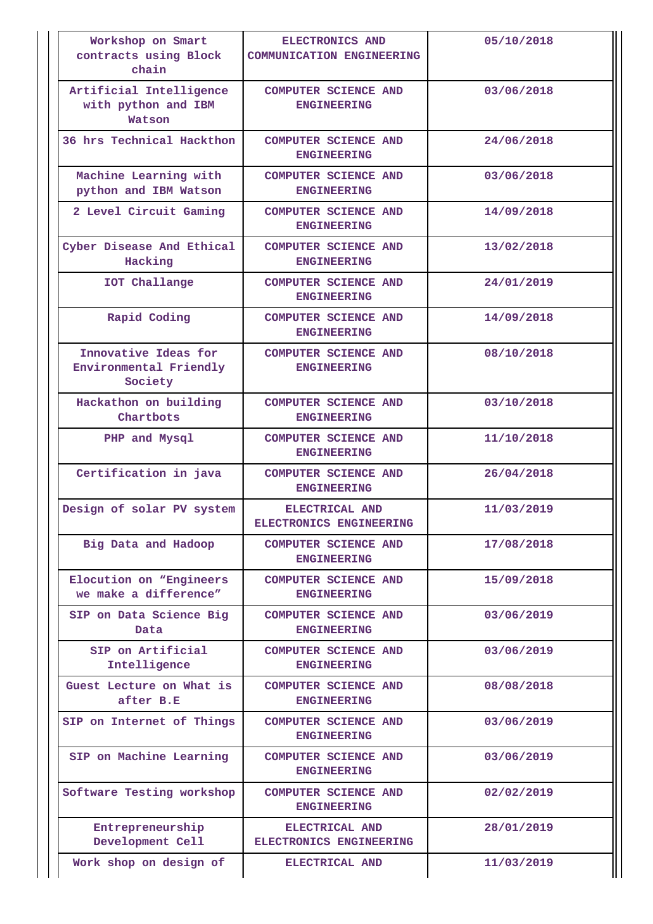| Workshop on Smart<br>contracts using Block<br>chain       | ELECTRONICS AND<br><b>COMMUNICATION ENGINEERING</b> | 05/10/2018 |
|-----------------------------------------------------------|-----------------------------------------------------|------------|
| Artificial Intelligence<br>with python and IBM<br>Watson  | <b>COMPUTER SCIENCE AND</b><br><b>ENGINEERING</b>   | 03/06/2018 |
| 36 hrs Technical Hackthon                                 | <b>COMPUTER SCIENCE AND</b><br><b>ENGINEERING</b>   | 24/06/2018 |
| Machine Learning with<br>python and IBM Watson            | <b>COMPUTER SCIENCE AND</b><br><b>ENGINEERING</b>   | 03/06/2018 |
| 2 Level Circuit Gaming                                    | <b>COMPUTER SCIENCE AND</b><br><b>ENGINEERING</b>   | 14/09/2018 |
| Cyber Disease And Ethical<br>Hacking                      | <b>COMPUTER SCIENCE AND</b><br><b>ENGINEERING</b>   | 13/02/2018 |
| IOT Challange                                             | <b>COMPUTER SCIENCE AND</b><br><b>ENGINEERING</b>   | 24/01/2019 |
| Rapid Coding                                              | <b>COMPUTER SCIENCE AND</b><br><b>ENGINEERING</b>   | 14/09/2018 |
| Innovative Ideas for<br>Environmental Friendly<br>Society | <b>COMPUTER SCIENCE AND</b><br><b>ENGINEERING</b>   | 08/10/2018 |
| Hackathon on building<br>Chartbots                        | <b>COMPUTER SCIENCE AND</b><br><b>ENGINEERING</b>   | 03/10/2018 |
| PHP and Mysql                                             | <b>COMPUTER SCIENCE AND</b><br><b>ENGINEERING</b>   | 11/10/2018 |
| Certification in java                                     | COMPUTER SCIENCE AND<br><b>ENGINEERING</b>          | 26/04/2018 |
| Design of solar PV system                                 | ELECTRICAL AND<br><b>ELECTRONICS ENGINEERING</b>    | 11/03/2019 |
| Big Data and Hadoop                                       | <b>COMPUTER SCIENCE AND</b><br><b>ENGINEERING</b>   | 17/08/2018 |
| Elocution on "Engineers<br>we make a difference"          | <b>COMPUTER SCIENCE AND</b><br><b>ENGINEERING</b>   | 15/09/2018 |
| SIP on Data Science Big<br>Data                           | <b>COMPUTER SCIENCE AND</b><br><b>ENGINEERING</b>   | 03/06/2019 |
| SIP on Artificial<br>Intelligence                         | <b>COMPUTER SCIENCE AND</b><br><b>ENGINEERING</b>   | 03/06/2019 |
| Guest Lecture on What is<br>after B.E                     | <b>COMPUTER SCIENCE AND</b><br><b>ENGINEERING</b>   | 08/08/2018 |
| SIP on Internet of Things                                 | <b>COMPUTER SCIENCE AND</b><br><b>ENGINEERING</b>   | 03/06/2019 |
| SIP on Machine Learning                                   | <b>COMPUTER SCIENCE AND</b><br><b>ENGINEERING</b>   | 03/06/2019 |
| Software Testing workshop                                 | <b>COMPUTER SCIENCE AND</b><br><b>ENGINEERING</b>   | 02/02/2019 |
| Entrepreneurship<br>Development Cell                      | ELECTRICAL AND<br>ELECTRONICS ENGINEERING           | 28/01/2019 |
| Work shop on design of                                    | ELECTRICAL AND                                      | 11/03/2019 |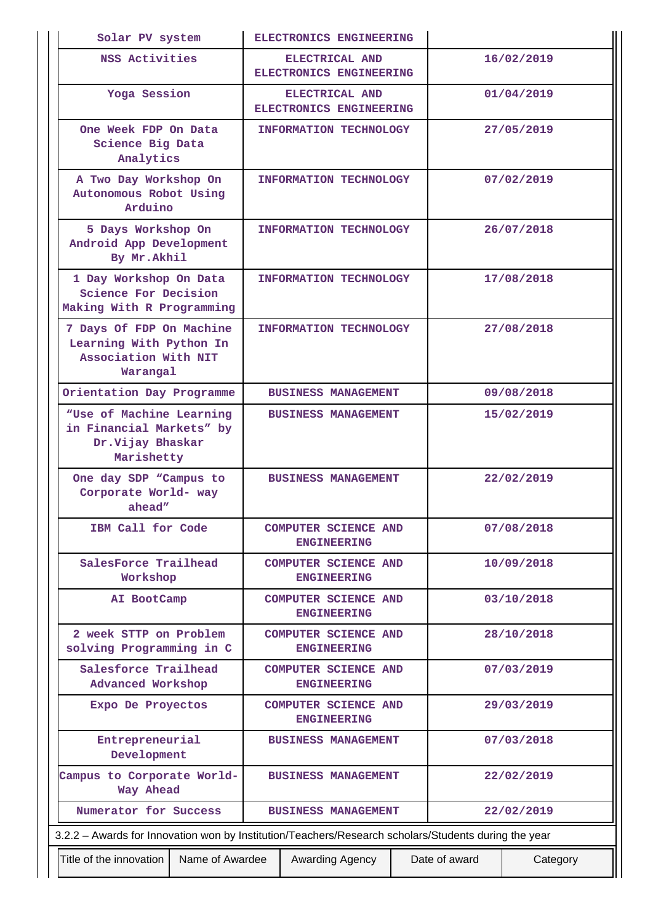| Solar PV system                                                                                      |  | ELECTRONICS ENGINEERING                           |  |               |            |  |
|------------------------------------------------------------------------------------------------------|--|---------------------------------------------------|--|---------------|------------|--|
| NSS Activities                                                                                       |  | ELECTRICAL AND<br>ELECTRONICS ENGINEERING         |  |               | 16/02/2019 |  |
| Yoga Session                                                                                         |  | ELECTRICAL AND<br>ELECTRONICS ENGINEERING         |  |               | 01/04/2019 |  |
| One Week FDP On Data<br>Science Big Data<br>Analytics                                                |  | <b>INFORMATION TECHNOLOGY</b>                     |  |               | 27/05/2019 |  |
| A Two Day Workshop On<br>Autonomous Robot Using<br>Arduino                                           |  | <b>INFORMATION TECHNOLOGY</b>                     |  |               | 07/02/2019 |  |
| 5 Days Workshop On<br>Android App Development<br>By Mr.Akhil                                         |  | <b>INFORMATION TECHNOLOGY</b>                     |  |               | 26/07/2018 |  |
| 1 Day Workshop On Data<br>Science For Decision<br>Making With R Programming                          |  | INFORMATION TECHNOLOGY                            |  |               | 17/08/2018 |  |
| 7 Days Of FDP On Machine<br>Learning With Python In<br>Association With NIT<br>Warangal              |  | <b>INFORMATION TECHNOLOGY</b>                     |  |               | 27/08/2018 |  |
| Orientation Day Programme                                                                            |  | <b>BUSINESS MANAGEMENT</b>                        |  |               | 09/08/2018 |  |
| "Use of Machine Learning<br>in Financial Markets" by<br>Dr.Vijay Bhaskar<br>Marishetty               |  | <b>BUSINESS MANAGEMENT</b>                        |  |               | 15/02/2019 |  |
| One day SDP "Campus to<br>Corporate World- way<br>$a$ head"                                          |  | <b>BUSINESS MANAGEMENT</b>                        |  |               | 22/02/2019 |  |
| IBM Call for Code                                                                                    |  | <b>COMPUTER SCIENCE AND</b><br><b>ENGINEERING</b> |  |               | 07/08/2018 |  |
| SalesForce Trailhead<br>Workshop                                                                     |  | <b>COMPUTER SCIENCE AND</b><br><b>ENGINEERING</b> |  | 10/09/2018    |            |  |
| AI BootCamp                                                                                          |  | <b>COMPUTER SCIENCE AND</b><br><b>ENGINEERING</b> |  | 03/10/2018    |            |  |
| 2 week STTP on Problem<br>solving Programming in C                                                   |  | <b>COMPUTER SCIENCE AND</b><br><b>ENGINEERING</b> |  | 28/10/2018    |            |  |
| Salesforce Trailhead<br>Advanced Workshop                                                            |  | <b>COMPUTER SCIENCE AND</b><br><b>ENGINEERING</b> |  | 07/03/2019    |            |  |
| Expo De Proyectos                                                                                    |  | <b>COMPUTER SCIENCE AND</b><br><b>ENGINEERING</b> |  | 29/03/2019    |            |  |
| Entrepreneurial<br>Development                                                                       |  | <b>BUSINESS MANAGEMENT</b>                        |  |               | 07/03/2018 |  |
| Campus to Corporate World-<br>Way Ahead                                                              |  | <b>BUSINESS MANAGEMENT</b>                        |  | 22/02/2019    |            |  |
| Numerator for Success<br><b>BUSINESS MANAGEMENT</b><br>22/02/2019                                    |  |                                                   |  |               |            |  |
| 3.2.2 - Awards for Innovation won by Institution/Teachers/Research scholars/Students during the year |  |                                                   |  |               |            |  |
| Title of the innovation<br>Name of Awardee                                                           |  | Awarding Agency                                   |  | Date of award | Category   |  |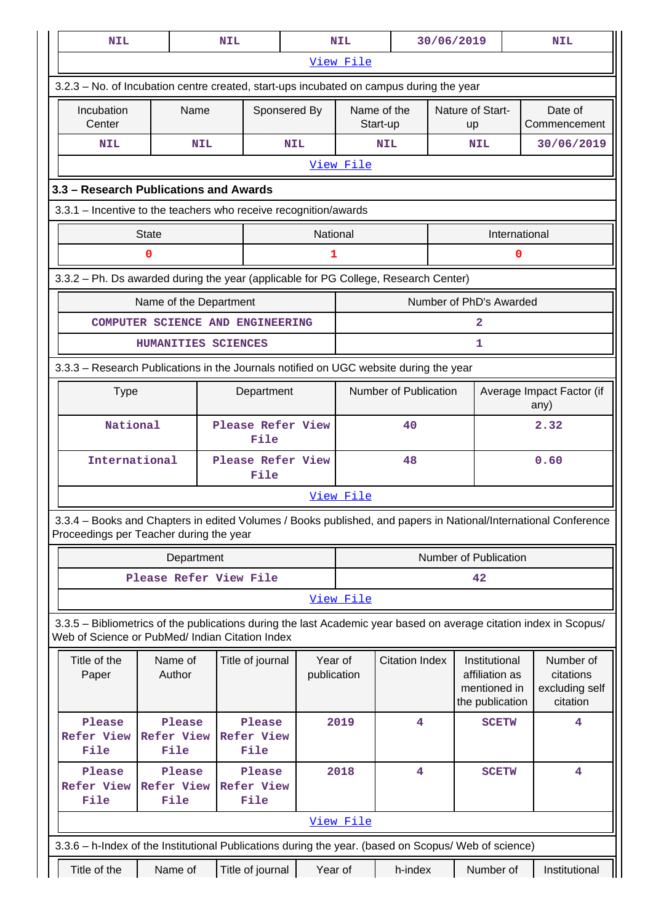| <b>NIL</b>                                                                                                                                                            |                                     |            | <b>NIL</b>                          |                           | NIL                           |                         | 30/06/2019                    |                                                                    | <b>NIL</b>                                                                                                      |
|-----------------------------------------------------------------------------------------------------------------------------------------------------------------------|-------------------------------------|------------|-------------------------------------|---------------------------|-------------------------------|-------------------------|-------------------------------|--------------------------------------------------------------------|-----------------------------------------------------------------------------------------------------------------|
|                                                                                                                                                                       |                                     |            |                                     |                           | View File                     |                         |                               |                                                                    |                                                                                                                 |
| 3.2.3 - No. of Incubation centre created, start-ups incubated on campus during the year                                                                               |                                     |            |                                     |                           |                               |                         |                               |                                                                    |                                                                                                                 |
| Incubation<br>Center                                                                                                                                                  |                                     | Name       |                                     | Sponsered By              |                               | Name of the<br>Start-up | Nature of Start-<br><b>up</b> |                                                                    | Date of<br>Commencement                                                                                         |
| <b>NIL</b>                                                                                                                                                            |                                     | <b>NIL</b> |                                     | <b>NIL</b>                |                               | <b>NIL</b>              |                               | <b>NIL</b>                                                         | 30/06/2019                                                                                                      |
|                                                                                                                                                                       |                                     |            |                                     |                           | View File                     |                         |                               |                                                                    |                                                                                                                 |
| 3.3 - Research Publications and Awards                                                                                                                                |                                     |            |                                     |                           |                               |                         |                               |                                                                    |                                                                                                                 |
| 3.3.1 - Incentive to the teachers who receive recognition/awards                                                                                                      |                                     |            |                                     |                           |                               |                         |                               |                                                                    |                                                                                                                 |
|                                                                                                                                                                       | <b>State</b>                        |            |                                     | National                  |                               |                         |                               | International                                                      |                                                                                                                 |
|                                                                                                                                                                       | 0                                   |            |                                     | 1                         |                               |                         |                               | $\mathbf 0$                                                        |                                                                                                                 |
| 3.3.2 - Ph. Ds awarded during the year (applicable for PG College, Research Center)                                                                                   |                                     |            |                                     |                           |                               |                         |                               |                                                                    |                                                                                                                 |
|                                                                                                                                                                       | Name of the Department              |            |                                     |                           |                               |                         |                               | Number of PhD's Awarded                                            |                                                                                                                 |
|                                                                                                                                                                       |                                     |            | COMPUTER SCIENCE AND ENGINEERING    |                           |                               |                         |                               | 2                                                                  |                                                                                                                 |
|                                                                                                                                                                       | HUMANITIES SCIENCES                 |            |                                     |                           |                               |                         |                               | 1                                                                  |                                                                                                                 |
| 3.3.3 - Research Publications in the Journals notified on UGC website during the year                                                                                 |                                     |            |                                     |                           |                               |                         |                               |                                                                    |                                                                                                                 |
| <b>Type</b>                                                                                                                                                           |                                     |            | Department                          |                           | Number of Publication<br>any) |                         |                               | Average Impact Factor (if                                          |                                                                                                                 |
| National                                                                                                                                                              |                                     |            | Please Refer View<br>File           |                           |                               | 40                      |                               |                                                                    | 2.32                                                                                                            |
| International                                                                                                                                                         |                                     |            | Please Refer View<br>File           |                           | 48                            |                         | 0.60                          |                                                                    |                                                                                                                 |
|                                                                                                                                                                       |                                     |            |                                     |                           | View File                     |                         |                               |                                                                    |                                                                                                                 |
| Proceedings per Teacher during the year                                                                                                                               |                                     |            |                                     |                           |                               |                         |                               |                                                                    | 3.3.4 - Books and Chapters in edited Volumes / Books published, and papers in National/International Conference |
|                                                                                                                                                                       |                                     | Department |                                     |                           |                               |                         |                               | Number of Publication                                              |                                                                                                                 |
|                                                                                                                                                                       |                                     |            | Please Refer View File              |                           | 42                            |                         |                               |                                                                    |                                                                                                                 |
|                                                                                                                                                                       |                                     |            |                                     |                           | View File                     |                         |                               |                                                                    |                                                                                                                 |
| 3.3.5 - Bibliometrics of the publications during the last Academic year based on average citation index in Scopus/<br>Web of Science or PubMed/ Indian Citation Index |                                     |            |                                     |                           |                               |                         |                               |                                                                    |                                                                                                                 |
| Title of the<br>Paper                                                                                                                                                 | Name of<br>Author                   |            | Title of journal                    | Year of<br>publication    |                               | <b>Citation Index</b>   |                               | Institutional<br>affiliation as<br>mentioned in<br>the publication | Number of<br>citations<br>excluding self<br>citation                                                            |
| Please<br><b>Refer View</b><br>File                                                                                                                                   | Please<br><b>Refer View</b><br>File |            | Please<br><b>Refer View</b><br>File |                           | 2019                          | 4                       |                               | <b>SCETW</b>                                                       | 4                                                                                                               |
| Please<br><b>Refer View</b><br>File                                                                                                                                   | Please<br><b>Refer View</b><br>File |            | Please<br><b>Refer View</b><br>File | 2018<br>4<br><b>SCETW</b> |                               |                         | $\overline{4}$                |                                                                    |                                                                                                                 |
|                                                                                                                                                                       | View File                           |            |                                     |                           |                               |                         |                               |                                                                    |                                                                                                                 |
| 3.3.6 - h-Index of the Institutional Publications during the year. (based on Scopus/ Web of science)                                                                  |                                     |            |                                     |                           |                               |                         |                               |                                                                    |                                                                                                                 |
| Title of the                                                                                                                                                          | Name of                             |            | Title of journal                    | Year of                   |                               | h-index                 |                               | Number of                                                          | Institutional                                                                                                   |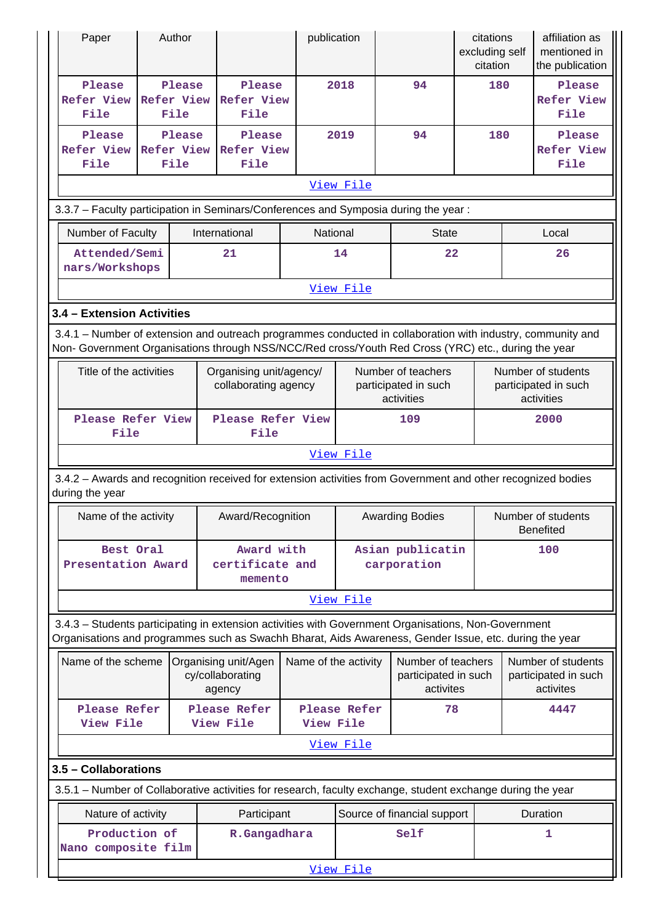| Paper                                                                                                                                                                                                              | Author                              |                                                    | publication          |                                                          |                                                         | citations<br>excluding self<br>citation |                                                          | affiliation as<br>mentioned in<br>the publication       |
|--------------------------------------------------------------------------------------------------------------------------------------------------------------------------------------------------------------------|-------------------------------------|----------------------------------------------------|----------------------|----------------------------------------------------------|---------------------------------------------------------|-----------------------------------------|----------------------------------------------------------|---------------------------------------------------------|
| Please<br><b>Refer View</b><br>File                                                                                                                                                                                | Please<br><b>Refer View</b><br>File | Please<br><b>Refer View</b><br>File                |                      | 2018                                                     | 94                                                      | 180                                     |                                                          | Please<br><b>Refer View</b><br>File                     |
| Please<br><b>Refer View</b><br>File                                                                                                                                                                                | Please<br><b>Refer View</b><br>File | Please<br><b>Refer View</b><br>File                |                      | 2019                                                     | 94                                                      | 180                                     |                                                          | Please<br><b>Refer View</b><br>File                     |
|                                                                                                                                                                                                                    |                                     |                                                    |                      | View File                                                |                                                         |                                         |                                                          |                                                         |
| 3.3.7 - Faculty participation in Seminars/Conferences and Symposia during the year:                                                                                                                                |                                     |                                                    | National             |                                                          |                                                         |                                         |                                                          |                                                         |
| Number of Faculty<br>Attended/Semi                                                                                                                                                                                 |                                     | International<br>21                                |                      | 14                                                       | <b>State</b><br>22                                      |                                         |                                                          | Local<br>26                                             |
| nars/Workshops                                                                                                                                                                                                     |                                     |                                                    |                      |                                                          |                                                         |                                         |                                                          |                                                         |
|                                                                                                                                                                                                                    |                                     |                                                    |                      | View File                                                |                                                         |                                         |                                                          |                                                         |
| 3.4 - Extension Activities                                                                                                                                                                                         |                                     |                                                    |                      |                                                          |                                                         |                                         |                                                          |                                                         |
| 3.4.1 – Number of extension and outreach programmes conducted in collaboration with industry, community and<br>Non- Government Organisations through NSS/NCC/Red cross/Youth Red Cross (YRC) etc., during the year |                                     |                                                    |                      |                                                          |                                                         |                                         |                                                          |                                                         |
| Title of the activities                                                                                                                                                                                            |                                     | Organising unit/agency/<br>collaborating agency    |                      | Number of teachers<br>participated in such<br>activities |                                                         |                                         | Number of students<br>participated in such<br>activities |                                                         |
| Please Refer View<br>File                                                                                                                                                                                          |                                     | Please Refer View<br>File                          |                      |                                                          |                                                         | 2000                                    |                                                          |                                                         |
|                                                                                                                                                                                                                    |                                     |                                                    |                      | View File                                                |                                                         |                                         |                                                          |                                                         |
| 3.4.2 - Awards and recognition received for extension activities from Government and other recognized bodies<br>during the year                                                                                    |                                     |                                                    |                      |                                                          |                                                         |                                         |                                                          |                                                         |
| Name of the activity                                                                                                                                                                                               |                                     | Award/Recognition                                  |                      |                                                          | <b>Awarding Bodies</b>                                  |                                         |                                                          | Number of students<br><b>Benefited</b>                  |
| Best Oral<br>Presentation Award                                                                                                                                                                                    |                                     | Award with<br>certificate and<br>memento           |                      | Asian publicatin<br>carporation                          |                                                         |                                         |                                                          | 100                                                     |
|                                                                                                                                                                                                                    |                                     |                                                    |                      | View File                                                |                                                         |                                         |                                                          |                                                         |
| 3.4.3 - Students participating in extension activities with Government Organisations, Non-Government<br>Organisations and programmes such as Swachh Bharat, Aids Awareness, Gender Issue, etc. during the year     |                                     |                                                    |                      |                                                          |                                                         |                                         |                                                          |                                                         |
| Name of the scheme                                                                                                                                                                                                 |                                     | Organising unit/Agen<br>cy/collaborating<br>agency | Name of the activity |                                                          | Number of teachers<br>participated in such<br>activites |                                         |                                                          | Number of students<br>participated in such<br>activites |
| Please Refer<br>View File                                                                                                                                                                                          |                                     | Please Refer<br>View File                          | View File            | Please Refer                                             | 78                                                      |                                         |                                                          | 4447                                                    |
|                                                                                                                                                                                                                    |                                     |                                                    |                      | View File                                                |                                                         |                                         |                                                          |                                                         |
| 3.5 - Collaborations                                                                                                                                                                                               |                                     |                                                    |                      |                                                          |                                                         |                                         |                                                          |                                                         |
| 3.5.1 – Number of Collaborative activities for research, faculty exchange, student exchange during the year                                                                                                        |                                     |                                                    |                      |                                                          |                                                         |                                         |                                                          |                                                         |
| Nature of activity                                                                                                                                                                                                 |                                     | Participant                                        |                      |                                                          | Source of financial support                             |                                         |                                                          | Duration                                                |
| Production of<br>Nano composite film                                                                                                                                                                               |                                     | R.Gangadhara                                       |                      |                                                          | Self                                                    |                                         |                                                          | 1                                                       |
|                                                                                                                                                                                                                    |                                     |                                                    |                      | View File                                                |                                                         |                                         |                                                          |                                                         |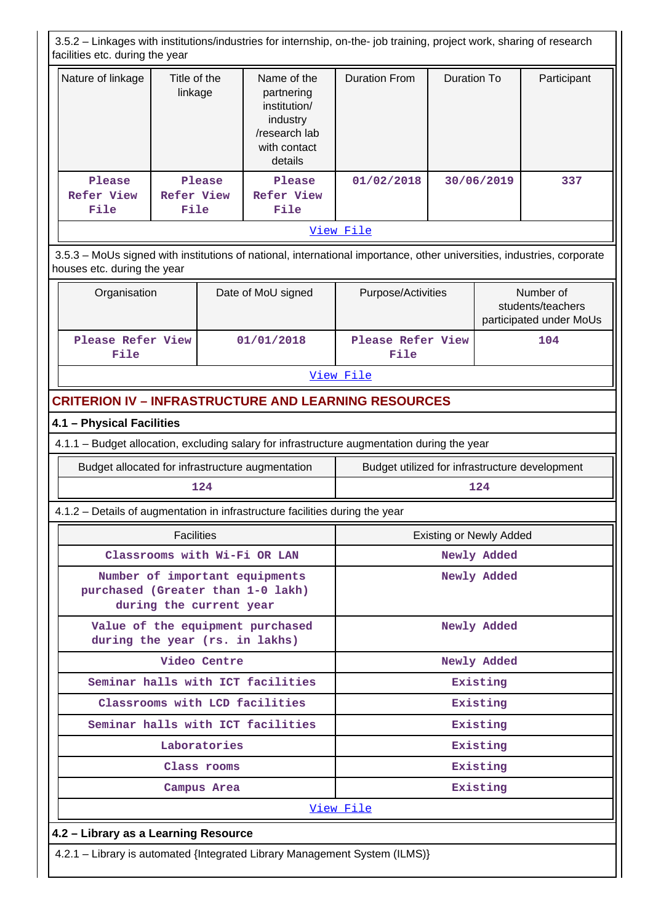3.5.2 – Linkages with institutions/industries for internship, on-the- job training, project work, sharing of research facilities etc. during the year

| Nature of linkage            | Title of the<br>linkage      | Name of the<br>partnering<br>institution/<br>industry<br>/research lab<br>with contact<br>details | <b>Duration From</b> | Duration To | Participant |  |  |
|------------------------------|------------------------------|---------------------------------------------------------------------------------------------------|----------------------|-------------|-------------|--|--|
| Please<br>Refer View<br>File | Please<br>Refer View<br>File | Please<br>Refer View<br>File                                                                      | 01/02/2018           | 30/06/2019  | 337         |  |  |
|                              | View File                    |                                                                                                   |                      |             |             |  |  |

 3.5.3 – MoUs signed with institutions of national, international importance, other universities, industries, corporate houses etc. during the year

| Organisation              | Date of MoU signed | Purpose/Activities        | Number of<br>students/teachers<br>participated under MoUs |
|---------------------------|--------------------|---------------------------|-----------------------------------------------------------|
| Please Refer View<br>File | 01/01/2018         | Please Refer View<br>File | 104                                                       |

[View File](https://assessmentonline.naac.gov.in/public/Postacc/MoU/4262_MoU_1600440183.xlsx)

# **CRITERION IV – INFRASTRUCTURE AND LEARNING RESOURCES**

## **4.1 – Physical Facilities**

4.1.1 – Budget allocation, excluding salary for infrastructure augmentation during the year

| Budget allocated for infrastructure augmentation | Budget utilized for infrastructure development |  |  |  |
|--------------------------------------------------|------------------------------------------------|--|--|--|
| L 24                                             |                                                |  |  |  |

4.1.2 – Details of augmentation in infrastructure facilities during the year

| <b>Facilities</b>                                                                              | <b>Existing or Newly Added</b> |  |  |  |  |
|------------------------------------------------------------------------------------------------|--------------------------------|--|--|--|--|
| Classrooms with Wi-Fi OR LAN                                                                   | Newly Added                    |  |  |  |  |
| Number of important equipments<br>purchased (Greater than 1-0 lakh)<br>during the current year | Newly Added                    |  |  |  |  |
| Value of the equipment purchased<br>during the year (rs. in lakhs)                             | Newly Added                    |  |  |  |  |
| Video Centre                                                                                   | Newly Added                    |  |  |  |  |
| Seminar halls with ICT facilities                                                              | Existing                       |  |  |  |  |
| Classrooms with LCD facilities                                                                 | Existing                       |  |  |  |  |
| Seminar halls with ICT facilities                                                              | Existing                       |  |  |  |  |
| Laboratories                                                                                   | Existing                       |  |  |  |  |
| Class rooms                                                                                    | Existing                       |  |  |  |  |
| Campus Area                                                                                    | Existing                       |  |  |  |  |
| View File                                                                                      |                                |  |  |  |  |
| 4.2 - Library as a Learning Resource                                                           |                                |  |  |  |  |
| 12 Il ibrary is automated Untegrated Library Management System (IL MS))                        |                                |  |  |  |  |

is automated {Integrated Library Management System (ILMS)}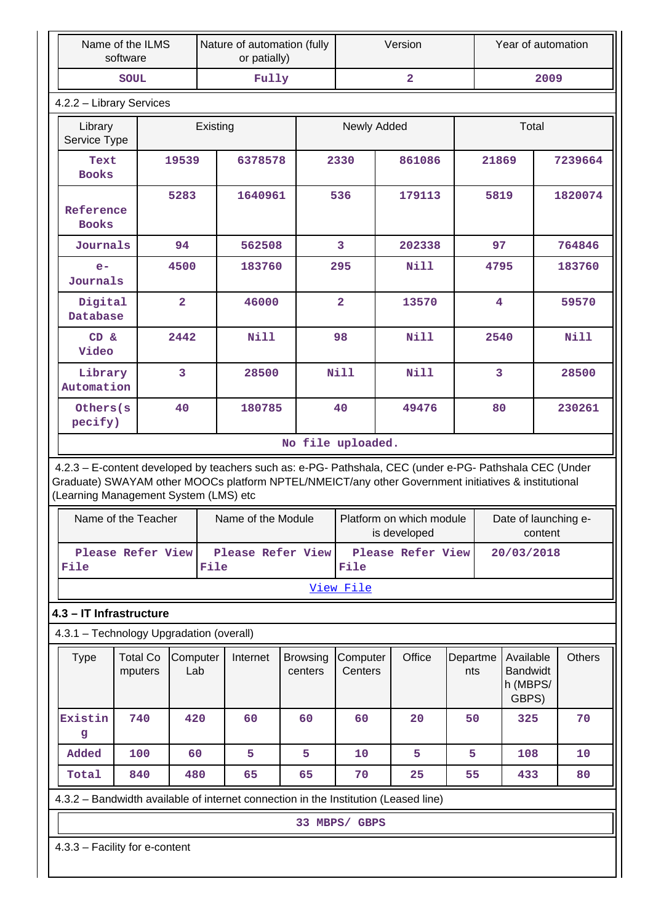| Name of the ILMS<br>software                                                                                                                                                                                                                            |                                                                                     |                  |      | Nature of automation (fully<br>or patially) |                            |                         | Version                                  |                 | Year of automation                                |         |               |
|---------------------------------------------------------------------------------------------------------------------------------------------------------------------------------------------------------------------------------------------------------|-------------------------------------------------------------------------------------|------------------|------|---------------------------------------------|----------------------------|-------------------------|------------------------------------------|-----------------|---------------------------------------------------|---------|---------------|
|                                                                                                                                                                                                                                                         | <b>SOUL</b>                                                                         |                  |      | Fully                                       |                            | $\overline{\mathbf{2}}$ |                                          |                 | 2009                                              |         |               |
| 4.2.2 - Library Services                                                                                                                                                                                                                                |                                                                                     |                  |      |                                             |                            |                         |                                          |                 |                                                   |         |               |
| Library<br>Service Type                                                                                                                                                                                                                                 |                                                                                     | Existing         |      |                                             |                            | Newly Added             |                                          |                 | Total                                             |         |               |
| Text<br><b>Books</b>                                                                                                                                                                                                                                    |                                                                                     | 19539<br>6378578 |      |                                             | 2330                       |                         |                                          | 21869           |                                                   | 7239664 |               |
| Reference<br><b>Books</b>                                                                                                                                                                                                                               |                                                                                     | 5283             |      | 1640961                                     |                            | 536                     | 179113                                   |                 | 5819                                              |         | 1820074       |
| Journals                                                                                                                                                                                                                                                |                                                                                     | 94               |      | 562508                                      |                            | 3                       | 202338                                   |                 | 97                                                |         | 764846        |
| $e-$<br>Journals                                                                                                                                                                                                                                        |                                                                                     | 4500             |      | 183760                                      |                            | 295                     | Nill                                     |                 | 4795                                              |         | 183760        |
| Digital<br>Database                                                                                                                                                                                                                                     |                                                                                     | $\overline{2}$   |      | 46000                                       |                            | $\overline{2}$          | 13570                                    |                 | $\overline{\mathbf{4}}$                           |         | 59570         |
| CD &<br>Video                                                                                                                                                                                                                                           |                                                                                     | 2442             |      | Nill                                        |                            | 98                      | <b>Nill</b>                              |                 | 2540                                              |         | Nill          |
| Library<br>Automation                                                                                                                                                                                                                                   |                                                                                     | 3                |      | 28500                                       |                            | Nill                    | <b>Nill</b>                              |                 | $\overline{3}$                                    |         | 28500         |
| Others(s<br>pecify)                                                                                                                                                                                                                                     |                                                                                     | 40               |      | 180785                                      |                            | 40                      | 49476                                    |                 | 80                                                |         | 230261        |
|                                                                                                                                                                                                                                                         |                                                                                     |                  |      |                                             | No file uploaded.          |                         |                                          |                 |                                                   |         |               |
| 4.2.3 - E-content developed by teachers such as: e-PG- Pathshala, CEC (under e-PG- Pathshala CEC (Under<br>Graduate) SWAYAM other MOOCs platform NPTEL/NMEICT/any other Government initiatives & institutional<br>(Learning Management System (LMS) etc |                                                                                     |                  |      |                                             |                            |                         |                                          |                 |                                                   |         |               |
| Name of the Teacher                                                                                                                                                                                                                                     |                                                                                     |                  |      | Name of the Module                          |                            |                         | Platform on which module<br>is developed |                 | Date of launching e-                              | content |               |
| Please Refer View<br>File                                                                                                                                                                                                                               |                                                                                     |                  | File | Please Refer View                           |                            | File                    | Please Refer View                        |                 | 20/03/2018                                        |         |               |
|                                                                                                                                                                                                                                                         |                                                                                     |                  |      |                                             |                            | View File               |                                          |                 |                                                   |         |               |
| 4.3 - IT Infrastructure                                                                                                                                                                                                                                 |                                                                                     |                  |      |                                             |                            |                         |                                          |                 |                                                   |         |               |
| 4.3.1 - Technology Upgradation (overall)                                                                                                                                                                                                                |                                                                                     |                  |      |                                             |                            |                         |                                          |                 |                                                   |         |               |
| <b>Type</b>                                                                                                                                                                                                                                             | <b>Total Co</b><br>mputers                                                          | Computer<br>Lab  |      | Internet                                    | <b>Browsing</b><br>centers | Computer<br>Centers     | Office                                   | Departme<br>nts | Available<br><b>Bandwidt</b><br>h (MBPS/<br>GBPS) |         | <b>Others</b> |
| Existin<br>g                                                                                                                                                                                                                                            | 740                                                                                 | 420              |      | 60                                          | 60                         | 60                      | 20                                       | 50              | 325                                               |         | 70            |
| Added                                                                                                                                                                                                                                                   | 100                                                                                 | 60               |      | 5                                           | 5                          | 10                      | 5                                        | 5               | 108                                               |         | 10            |
| Total                                                                                                                                                                                                                                                   | 840                                                                                 | 480              |      | 65                                          | 65                         | 70                      | 25                                       | 55              | 433                                               |         | 80            |
|                                                                                                                                                                                                                                                         | 4.3.2 - Bandwidth available of internet connection in the Institution (Leased line) |                  |      |                                             |                            |                         |                                          |                 |                                                   |         |               |
|                                                                                                                                                                                                                                                         |                                                                                     |                  |      |                                             |                            | 33 MBPS/ GBPS           |                                          |                 |                                                   |         |               |
| 4.3.3 - Facility for e-content                                                                                                                                                                                                                          |                                                                                     |                  |      |                                             |                            |                         |                                          |                 |                                                   |         |               |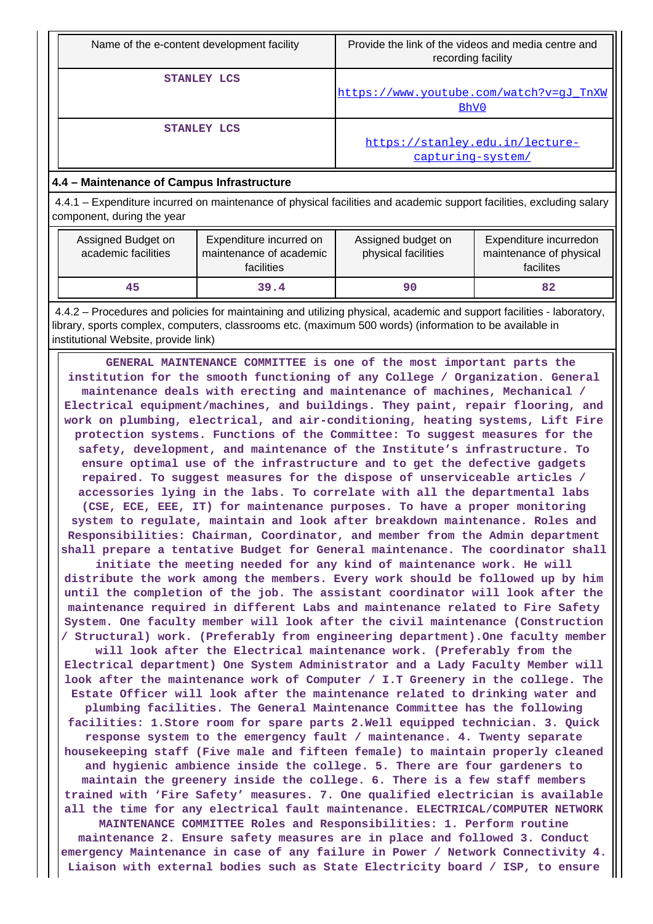| Name of the e-content development facility | Provide the link of the videos and media centre and<br>recording facility |
|--------------------------------------------|---------------------------------------------------------------------------|
| STANLEY LCS                                | https://www.youtube.com/watch?v=qJ TnXW<br>BhV0                           |
| STANLEY LCS                                | https://stanley.edu.in/lecture-<br>capturing-system/                      |

## **4.4 – Maintenance of Campus Infrastructure**

 4.4.1 – Expenditure incurred on maintenance of physical facilities and academic support facilities, excluding salary component, during the year

| Assigned Budget on<br>academic facilities | Expenditure incurred on<br>maintenance of academic<br>facilities | Assigned budget on<br>physical facilities | Expenditure incurredon<br>maintenance of physical<br>facilites |
|-------------------------------------------|------------------------------------------------------------------|-------------------------------------------|----------------------------------------------------------------|
| 45                                        | 39.4                                                             | 90                                        | 82                                                             |

 4.4.2 – Procedures and policies for maintaining and utilizing physical, academic and support facilities - laboratory, library, sports complex, computers, classrooms etc. (maximum 500 words) (information to be available in institutional Website, provide link)

 **GENERAL MAINTENANCE COMMITTEE is one of the most important parts the institution for the smooth functioning of any College / Organization. General maintenance deals with erecting and maintenance of machines, Mechanical / Electrical equipment/machines, and buildings. They paint, repair flooring, and work on plumbing, electrical, and air-conditioning, heating systems, Lift Fire protection systems. Functions of the Committee: To suggest measures for the safety, development, and maintenance of the Institute's infrastructure. To ensure optimal use of the infrastructure and to get the defective gadgets repaired. To suggest measures for the dispose of unserviceable articles / accessories lying in the labs. To correlate with all the departmental labs (CSE, ECE, EEE, IT) for maintenance purposes. To have a proper monitoring system to regulate, maintain and look after breakdown maintenance. Roles and Responsibilities: Chairman, Coordinator, and member from the Admin department shall prepare a tentative Budget for General maintenance. The coordinator shall**

**initiate the meeting needed for any kind of maintenance work. He will distribute the work among the members. Every work should be followed up by him until the completion of the job. The assistant coordinator will look after the maintenance required in different Labs and maintenance related to Fire Safety System. One faculty member will look after the civil maintenance (Construction / Structural) work. (Preferably from engineering department).One faculty member**

**will look after the Electrical maintenance work. (Preferably from the Electrical department) One System Administrator and a Lady Faculty Member will look after the maintenance work of Computer / I.T Greenery in the college. The Estate Officer will look after the maintenance related to drinking water and plumbing facilities. The General Maintenance Committee has the following facilities: 1.Store room for spare parts 2.Well equipped technician. 3. Quick response system to the emergency fault / maintenance. 4. Twenty separate housekeeping staff (Five male and fifteen female) to maintain properly cleaned and hygienic ambience inside the college. 5. There are four gardeners to maintain the greenery inside the college. 6. There is a few staff members trained with 'Fire Safety' measures. 7. One qualified electrician is available all the time for any electrical fault maintenance. ELECTRICAL/COMPUTER NETWORK MAINTENANCE COMMITTEE Roles and Responsibilities: 1. Perform routine**

**maintenance 2. Ensure safety measures are in place and followed 3. Conduct emergency Maintenance in case of any failure in Power / Network Connectivity 4. Liaison with external bodies such as State Electricity board / ISP, to ensure**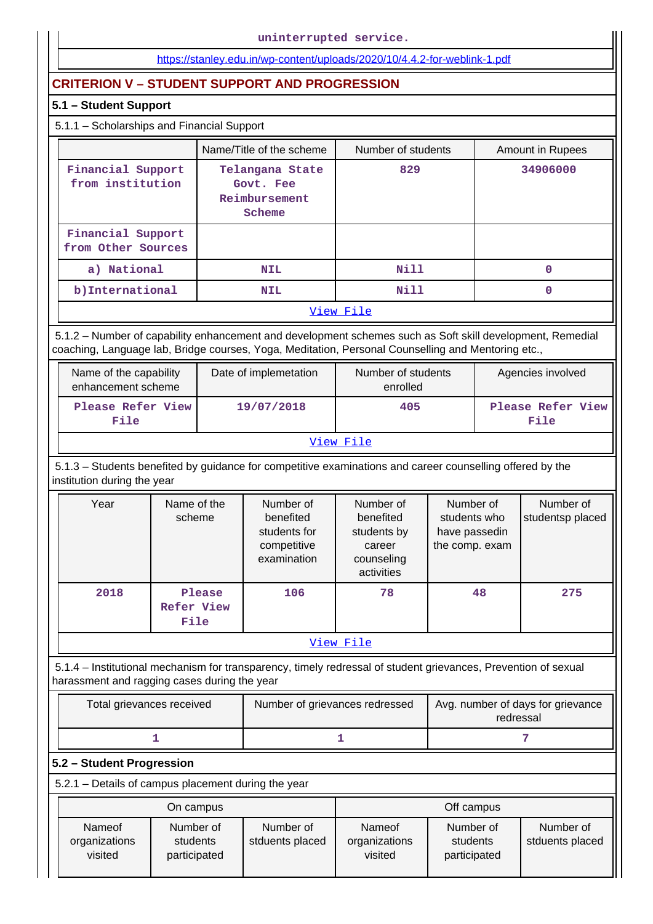#### <https://stanley.edu.in/wp-content/uploads/2020/10/4.4.2-for-weblink-1.pdf>

## **CRITERION V – STUDENT SUPPORT AND PROGRESSION**

## **5.1 – Student Support**

# 5.1.1 – Scholarships and Financial Support

|                                         | Name/Title of the scheme                                | Number of students | <b>Amount in Rupees</b> |  |  |
|-----------------------------------------|---------------------------------------------------------|--------------------|-------------------------|--|--|
| Financial Support<br>from institution   | Telangana State<br>Govt. Fee<br>Reimbursement<br>Scheme | 829                | 34906000                |  |  |
| Financial Support<br>from Other Sources |                                                         |                    |                         |  |  |
| a) National                             | <b>NIL</b>                                              | <b>Nill</b>        | 0                       |  |  |
| b) International                        | <b>NIL</b>                                              | Nill               | 0                       |  |  |
| View File                               |                                                         |                    |                         |  |  |

 5.1.2 – Number of capability enhancement and development schemes such as Soft skill development, Remedial coaching, Language lab, Bridge courses, Yoga, Meditation, Personal Counselling and Mentoring etc.,

| Name of the capability<br>enhancement scheme | Date of implemetation | Number of students<br>enrolled | Agencies involved         |  |  |
|----------------------------------------------|-----------------------|--------------------------------|---------------------------|--|--|
| Please Refer View<br>File                    | 19/07/2018            | 405                            | Please Refer View<br>File |  |  |
| View File                                    |                       |                                |                           |  |  |

 5.1.3 – Students benefited by guidance for competitive examinations and career counselling offered by the institution during the year

| Year      | Name of the<br>scheme        | Number of<br>benefited<br>students for<br>competitive<br>examination | Number of<br>benefited<br>students by<br>career<br>counseling<br>activities | Number of<br>students who<br>have passedin<br>the comp. exam | Number of<br>studentsp placed |  |
|-----------|------------------------------|----------------------------------------------------------------------|-----------------------------------------------------------------------------|--------------------------------------------------------------|-------------------------------|--|
| 2018      | Please<br>Refer View<br>File | 106                                                                  | 78                                                                          | 48                                                           | 275                           |  |
| View File |                              |                                                                      |                                                                             |                                                              |                               |  |

 5.1.4 – Institutional mechanism for transparency, timely redressal of student grievances, Prevention of sexual harassment and ragging cases during the year

| Total grievances received | Number of grievances redressed | Avg. number of days for grievance<br>redressal |
|---------------------------|--------------------------------|------------------------------------------------|
|                           |                                |                                                |

#### **5.2 – Student Progression**

5.2.1 – Details of campus placement during the year

|                                    | On campus                             |                              |                                    | Off campus                            |                              |
|------------------------------------|---------------------------------------|------------------------------|------------------------------------|---------------------------------------|------------------------------|
| Nameof<br>organizations<br>visited | Number of<br>students<br>participated | Number of<br>stduents placed | Nameof<br>organizations<br>visited | Number of<br>students<br>participated | Number of<br>stduents placed |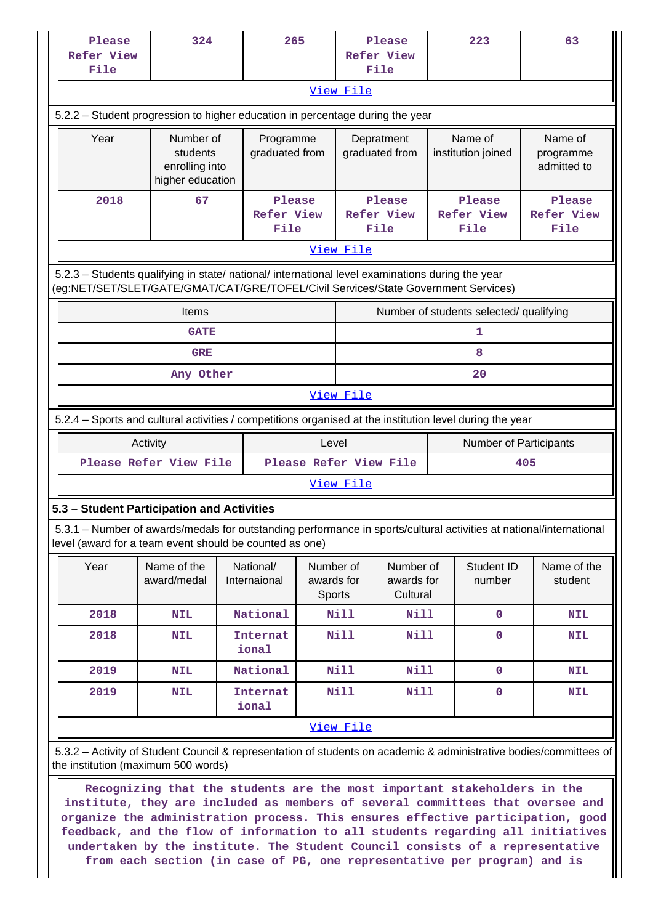| Please<br><b>Refer View</b>                                                                                                                                                    | 324                                                                                                                                                                                    |                           | 265    |                                                                          | Please<br><b>Refer View</b>             |                           | 223                    |                                     | 63                        |  |  |  |  |  |
|--------------------------------------------------------------------------------------------------------------------------------------------------------------------------------|----------------------------------------------------------------------------------------------------------------------------------------------------------------------------------------|---------------------------|--------|--------------------------------------------------------------------------|-----------------------------------------|---------------------------|------------------------|-------------------------------------|---------------------------|--|--|--|--|--|
| File                                                                                                                                                                           |                                                                                                                                                                                        |                           |        |                                                                          | File                                    |                           |                        |                                     |                           |  |  |  |  |  |
|                                                                                                                                                                                |                                                                                                                                                                                        |                           |        | View File                                                                |                                         |                           |                        |                                     |                           |  |  |  |  |  |
|                                                                                                                                                                                | 5.2.2 - Student progression to higher education in percentage during the year                                                                                                          |                           |        |                                                                          |                                         |                           |                        |                                     |                           |  |  |  |  |  |
| Year                                                                                                                                                                           | Number of                                                                                                                                                                              | Programme                 |        |                                                                          | Depratment                              | Name of                   |                        |                                     | Name of                   |  |  |  |  |  |
|                                                                                                                                                                                | graduated from<br>students<br>enrolling into<br>higher education                                                                                                                       |                           |        |                                                                          | graduated from                          | institution joined        |                        |                                     | programme<br>admitted to  |  |  |  |  |  |
| 2018                                                                                                                                                                           | 67                                                                                                                                                                                     |                           | Please |                                                                          | Please                                  |                           | Please                 |                                     | Please                    |  |  |  |  |  |
|                                                                                                                                                                                |                                                                                                                                                                                        | <b>Refer View</b><br>File |        |                                                                          | <b>Refer View</b><br>File               | <b>Refer View</b><br>File |                        |                                     | <b>Refer View</b><br>File |  |  |  |  |  |
|                                                                                                                                                                                |                                                                                                                                                                                        |                           |        | View File                                                                |                                         |                           |                        |                                     |                           |  |  |  |  |  |
|                                                                                                                                                                                | 5.2.3 - Students qualifying in state/ national/ international level examinations during the year<br>(eg:NET/SET/SLET/GATE/GMAT/CAT/GRE/TOFEL/Civil Services/State Government Services) |                           |        |                                                                          |                                         |                           |                        |                                     |                           |  |  |  |  |  |
|                                                                                                                                                                                | Items                                                                                                                                                                                  |                           |        |                                                                          | Number of students selected/ qualifying |                           |                        |                                     |                           |  |  |  |  |  |
|                                                                                                                                                                                | <b>GATE</b>                                                                                                                                                                            |                           |        |                                                                          |                                         |                           | 1                      |                                     |                           |  |  |  |  |  |
|                                                                                                                                                                                | <b>GRE</b>                                                                                                                                                                             |                           |        | 8                                                                        |                                         |                           |                        |                                     |                           |  |  |  |  |  |
|                                                                                                                                                                                | Any Other                                                                                                                                                                              |                           |        |                                                                          |                                         |                           | 20                     |                                     |                           |  |  |  |  |  |
|                                                                                                                                                                                | View File                                                                                                                                                                              |                           |        |                                                                          |                                         |                           |                        |                                     |                           |  |  |  |  |  |
| 5.2.4 – Sports and cultural activities / competitions organised at the institution level during the year                                                                       |                                                                                                                                                                                        |                           |        |                                                                          |                                         |                           |                        |                                     |                           |  |  |  |  |  |
|                                                                                                                                                                                | Activity                                                                                                                                                                               |                           | Level  |                                                                          |                                         |                           | Number of Participants |                                     |                           |  |  |  |  |  |
|                                                                                                                                                                                | Please Refer View File                                                                                                                                                                 |                           |        |                                                                          | Please Refer View File<br>405           |                           |                        |                                     |                           |  |  |  |  |  |
|                                                                                                                                                                                |                                                                                                                                                                                        |                           |        | View File                                                                |                                         |                           |                        |                                     |                           |  |  |  |  |  |
| 5.3 - Student Participation and Activities                                                                                                                                     |                                                                                                                                                                                        |                           |        |                                                                          |                                         |                           |                        |                                     |                           |  |  |  |  |  |
| 5.3.1 - Number of awards/medals for outstanding performance in sports/cultural activities at national/international<br>level (award for a team event should be counted as one) |                                                                                                                                                                                        |                           |        |                                                                          |                                         |                           |                        |                                     |                           |  |  |  |  |  |
| Year                                                                                                                                                                           | Name of the<br>award/medal                                                                                                                                                             | National/<br>Internaional |        | Number of<br>Number of<br>awards for<br>awards for<br>Cultural<br>Sports |                                         |                           | Student ID<br>number   |                                     | Name of the<br>student    |  |  |  |  |  |
| 2018                                                                                                                                                                           | <b>NIL</b>                                                                                                                                                                             | National                  | Nill   |                                                                          | <b>Nill</b>                             |                           | $\mathbf 0$            |                                     | <b>NIL</b>                |  |  |  |  |  |
| 2018                                                                                                                                                                           | <b>NIL</b>                                                                                                                                                                             | Internat<br>ional         |        | Nill                                                                     | <b>Nill</b>                             |                           | 0                      |                                     | <b>NIL</b>                |  |  |  |  |  |
| 2019                                                                                                                                                                           | <b>NIL</b>                                                                                                                                                                             | National                  |        | Nill                                                                     | Nill                                    |                           | $\pmb{0}$              |                                     | <b>NIL</b>                |  |  |  |  |  |
| 2019                                                                                                                                                                           | <b>NIL</b>                                                                                                                                                                             | Internat<br>ional         |        | <b>Nill</b>                                                              | <b>Nill</b>                             |                           | 0                      |                                     | <b>NIL</b>                |  |  |  |  |  |
|                                                                                                                                                                                |                                                                                                                                                                                        |                           |        | View File                                                                |                                         |                           |                        |                                     |                           |  |  |  |  |  |
|                                                                                                                                                                                | 5.3.2 - Activity of Student Council & representation of students on academic & administrative bodies/committees of                                                                     |                           |        |                                                                          |                                         |                           |                        |                                     |                           |  |  |  |  |  |
|                                                                                                                                                                                |                                                                                                                                                                                        |                           |        |                                                                          |                                         |                           |                        | the institution (maximum 500 words) |                           |  |  |  |  |  |

 **Recognizing that the students are the most important stakeholders in the institute, they are included as members of several committees that oversee and organize the administration process. This ensures effective participation, good feedback, and the flow of information to all students regarding all initiatives undertaken by the institute. The Student Council consists of a representative from each section (in case of PG, one representative per program) and is**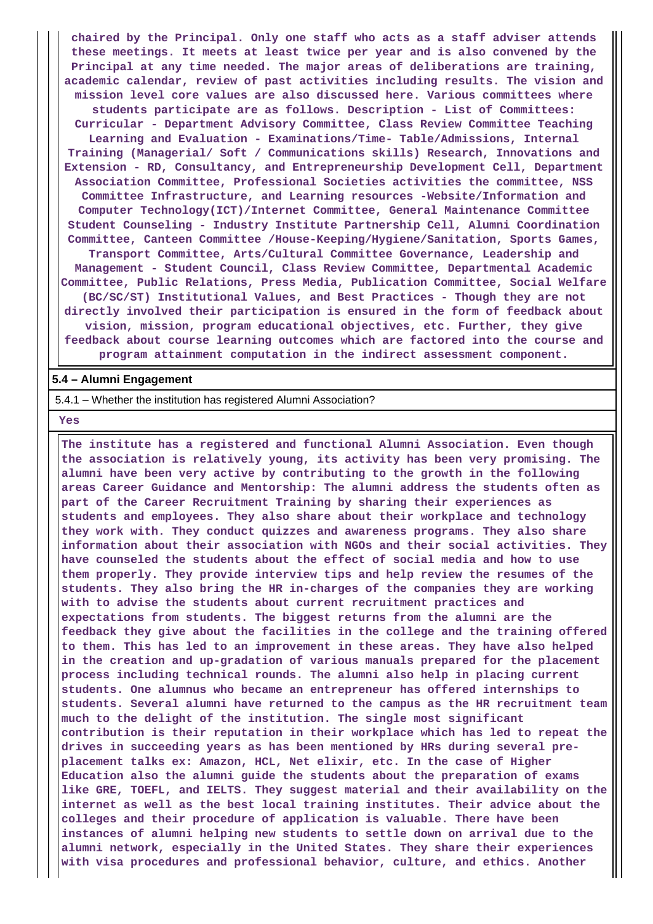**chaired by the Principal. Only one staff who acts as a staff adviser attends these meetings. It meets at least twice per year and is also convened by the Principal at any time needed. The major areas of deliberations are training, academic calendar, review of past activities including results. The vision and mission level core values are also discussed here. Various committees where students participate are as follows. Description - List of Committees: Curricular - Department Advisory Committee, Class Review Committee Teaching Learning and Evaluation - Examinations/Time- Table/Admissions, Internal Training (Managerial/ Soft / Communications skills) Research, Innovations and Extension - RD, Consultancy, and Entrepreneurship Development Cell, Department Association Committee, Professional Societies activities the committee, NSS Committee Infrastructure, and Learning resources -Website/Information and Computer Technology(ICT)/Internet Committee, General Maintenance Committee Student Counseling - Industry Institute Partnership Cell, Alumni Coordination Committee, Canteen Committee /House-Keeping/Hygiene/Sanitation, Sports Games, Transport Committee, Arts/Cultural Committee Governance, Leadership and Management - Student Council, Class Review Committee, Departmental Academic Committee, Public Relations, Press Media, Publication Committee, Social Welfare (BC/SC/ST) Institutional Values, and Best Practices - Though they are not directly involved their participation is ensured in the form of feedback about vision, mission, program educational objectives, etc. Further, they give feedback about course learning outcomes which are factored into the course and program attainment computation in the indirect assessment component.**

#### **5.4 – Alumni Engagement**

5.4.1 – Whether the institution has registered Alumni Association?

 **Yes**

 **The institute has a registered and functional Alumni Association. Even though the association is relatively young, its activity has been very promising. The alumni have been very active by contributing to the growth in the following areas Career Guidance and Mentorship: The alumni address the students often as part of the Career Recruitment Training by sharing their experiences as students and employees. They also share about their workplace and technology they work with. They conduct quizzes and awareness programs. They also share information about their association with NGOs and their social activities. They have counseled the students about the effect of social media and how to use them properly. They provide interview tips and help review the resumes of the students. They also bring the HR in-charges of the companies they are working with to advise the students about current recruitment practices and expectations from students. The biggest returns from the alumni are the feedback they give about the facilities in the college and the training offered to them. This has led to an improvement in these areas. They have also helped in the creation and up-gradation of various manuals prepared for the placement process including technical rounds. The alumni also help in placing current students. One alumnus who became an entrepreneur has offered internships to students. Several alumni have returned to the campus as the HR recruitment team much to the delight of the institution. The single most significant contribution is their reputation in their workplace which has led to repeat the drives in succeeding years as has been mentioned by HRs during several preplacement talks ex: Amazon, HCL, Net elixir, etc. In the case of Higher Education also the alumni guide the students about the preparation of exams like GRE, TOEFL, and IELTS. They suggest material and their availability on the internet as well as the best local training institutes. Their advice about the colleges and their procedure of application is valuable. There have been instances of alumni helping new students to settle down on arrival due to the alumni network, especially in the United States. They share their experiences with visa procedures and professional behavior, culture, and ethics. Another**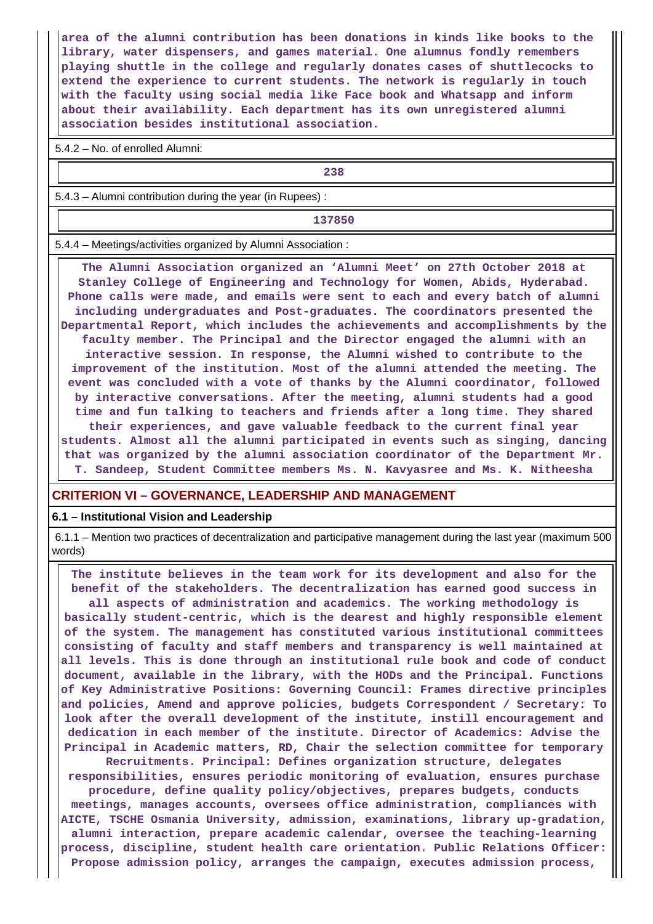**area of the alumni contribution has been donations in kinds like books to the library, water dispensers, and games material. One alumnus fondly remembers playing shuttle in the college and regularly donates cases of shuttlecocks to extend the experience to current students. The network is regularly in touch with the faculty using social media like Face book and Whatsapp and inform about their availability. Each department has its own unregistered alumni association besides institutional association.**

5.4.2 – No. of enrolled Alumni:

**238**

5.4.3 – Alumni contribution during the year (in Rupees) :

**137850**

5.4.4 – Meetings/activities organized by Alumni Association :

 **The Alumni Association organized an 'Alumni Meet' on 27th October 2018 at Stanley College of Engineering and Technology for Women, Abids, Hyderabad. Phone calls were made, and emails were sent to each and every batch of alumni including undergraduates and Post-graduates. The coordinators presented the Departmental Report, which includes the achievements and accomplishments by the faculty member. The Principal and the Director engaged the alumni with an interactive session. In response, the Alumni wished to contribute to the improvement of the institution. Most of the alumni attended the meeting. The event was concluded with a vote of thanks by the Alumni coordinator, followed by interactive conversations. After the meeting, alumni students had a good time and fun talking to teachers and friends after a long time. They shared their experiences, and gave valuable feedback to the current final year students. Almost all the alumni participated in events such as singing, dancing that was organized by the alumni association coordinator of the Department Mr. T. Sandeep, Student Committee members Ms. N. Kavyasree and Ms. K. Nitheesha**

#### **CRITERION VI – GOVERNANCE, LEADERSHIP AND MANAGEMENT**

#### **6.1 – Institutional Vision and Leadership**

 6.1.1 – Mention two practices of decentralization and participative management during the last year (maximum 500 words)

 **The institute believes in the team work for its development and also for the benefit of the stakeholders. The decentralization has earned good success in all aspects of administration and academics. The working methodology is basically student-centric, which is the dearest and highly responsible element of the system. The management has constituted various institutional committees consisting of faculty and staff members and transparency is well maintained at all levels. This is done through an institutional rule book and code of conduct document, available in the library, with the HODs and the Principal. Functions of Key Administrative Positions: Governing Council: Frames directive principles and policies, Amend and approve policies, budgets Correspondent / Secretary: To look after the overall development of the institute, instill encouragement and dedication in each member of the institute. Director of Academics: Advise the Principal in Academic matters, RD, Chair the selection committee for temporary**

**Recruitments. Principal: Defines organization structure, delegates responsibilities, ensures periodic monitoring of evaluation, ensures purchase procedure, define quality policy/objectives, prepares budgets, conducts meetings, manages accounts, oversees office administration, compliances with AICTE, TSCHE Osmania University, admission, examinations, library up-gradation, alumni interaction, prepare academic calendar, oversee the teaching-learning process, discipline, student health care orientation. Public Relations Officer: Propose admission policy, arranges the campaign, executes admission process,**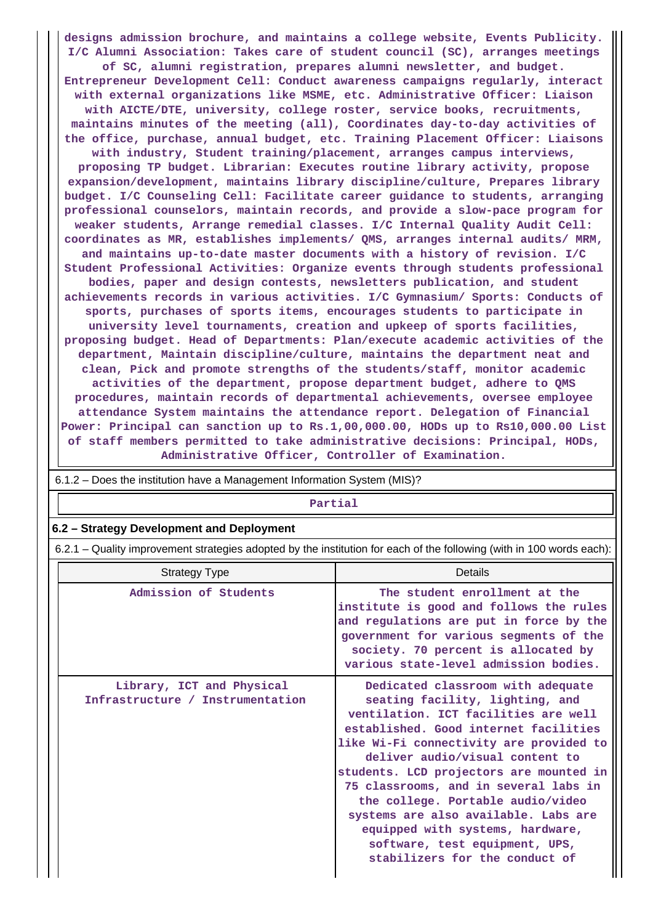**designs admission brochure, and maintains a college website, Events Publicity. I/C Alumni Association: Takes care of student council (SC), arranges meetings of SC, alumni registration, prepares alumni newsletter, and budget. Entrepreneur Development Cell: Conduct awareness campaigns regularly, interact with external organizations like MSME, etc. Administrative Officer: Liaison with AICTE/DTE, university, college roster, service books, recruitments, maintains minutes of the meeting (all), Coordinates day-to-day activities of the office, purchase, annual budget, etc. Training Placement Officer: Liaisons with industry, Student training/placement, arranges campus interviews, proposing TP budget. Librarian: Executes routine library activity, propose expansion/development, maintains library discipline/culture, Prepares library budget. I/C Counseling Cell: Facilitate career guidance to students, arranging professional counselors, maintain records, and provide a slow-pace program for weaker students, Arrange remedial classes. I/C Internal Quality Audit Cell: coordinates as MR, establishes implements/ QMS, arranges internal audits/ MRM, and maintains up-to-date master documents with a history of revision. I/C Student Professional Activities: Organize events through students professional bodies, paper and design contests, newsletters publication, and student achievements records in various activities. I/C Gymnasium/ Sports: Conducts of sports, purchases of sports items, encourages students to participate in university level tournaments, creation and upkeep of sports facilities, proposing budget. Head of Departments: Plan/execute academic activities of the department, Maintain discipline/culture, maintains the department neat and clean, Pick and promote strengths of the students/staff, monitor academic activities of the department, propose department budget, adhere to QMS procedures, maintain records of departmental achievements, oversee employee attendance System maintains the attendance report. Delegation of Financial Power: Principal can sanction up to Rs.1,00,000.00, HODs up to Rs10,000.00 List of staff members permitted to take administrative decisions: Principal, HODs, Administrative Officer, Controller of Examination.**

| 6.1.2 – Does the institution have a Management Information System (MIS)?                                              |                                                                                                                                                                                                                                                                                                                                                                                                                                          |  |  |  |  |
|-----------------------------------------------------------------------------------------------------------------------|------------------------------------------------------------------------------------------------------------------------------------------------------------------------------------------------------------------------------------------------------------------------------------------------------------------------------------------------------------------------------------------------------------------------------------------|--|--|--|--|
| Partial                                                                                                               |                                                                                                                                                                                                                                                                                                                                                                                                                                          |  |  |  |  |
| 6.2 - Strategy Development and Deployment                                                                             |                                                                                                                                                                                                                                                                                                                                                                                                                                          |  |  |  |  |
| 6.2.1 – Quality improvement strategies adopted by the institution for each of the following (with in 100 words each): |                                                                                                                                                                                                                                                                                                                                                                                                                                          |  |  |  |  |
| Details<br><b>Strategy Type</b>                                                                                       |                                                                                                                                                                                                                                                                                                                                                                                                                                          |  |  |  |  |
| Admission of Students                                                                                                 | The student enrollment at the<br>institute is good and follows the rules<br>and regulations are put in force by the<br>government for various segments of the<br>society. 70 percent is allocated by<br>various state-level admission bodies.                                                                                                                                                                                            |  |  |  |  |
| Library, ICT and Physical<br>Infrastructure / Instrumentation                                                         | Dedicated classroom with adequate<br>seating facility, lighting, and<br>ventilation. ICT facilities are well<br>established. Good internet facilities<br>like Wi-Fi connectivity are provided to<br>deliver audio/visual content to<br>students. LCD projectors are mounted in<br>75 classrooms, and in several labs in<br>the college. Portable audio/video<br>systems are also available. Labs are<br>equipped with systems, hardware, |  |  |  |  |

**software, test equipment, UPS, stabilizers for the conduct of**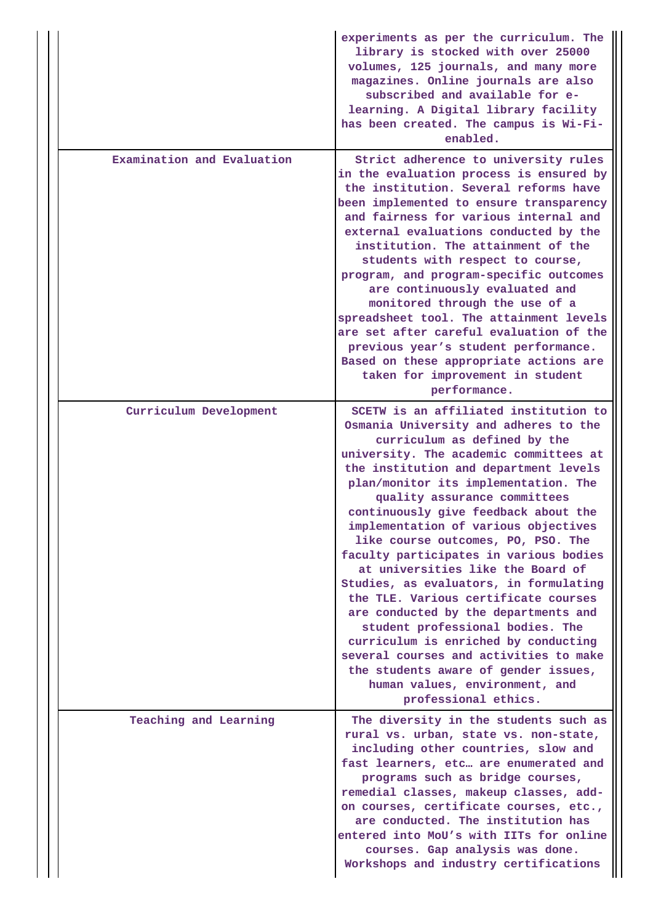|                            | experiments as per the curriculum. The<br>library is stocked with over 25000<br>volumes, 125 journals, and many more<br>magazines. Online journals are also<br>subscribed and available for e-<br>learning. A Digital library facility<br>has been created. The campus is Wi-Fi-<br>enabled.                                                                                                                                                                                                                                                                                                                                                                                                                                                                                                                                     |
|----------------------------|----------------------------------------------------------------------------------------------------------------------------------------------------------------------------------------------------------------------------------------------------------------------------------------------------------------------------------------------------------------------------------------------------------------------------------------------------------------------------------------------------------------------------------------------------------------------------------------------------------------------------------------------------------------------------------------------------------------------------------------------------------------------------------------------------------------------------------|
| Examination and Evaluation | Strict adherence to university rules<br>in the evaluation process is ensured by<br>the institution. Several reforms have<br>been implemented to ensure transparency<br>and fairness for various internal and<br>external evaluations conducted by the<br>institution. The attainment of the<br>students with respect to course,<br>program, and program-specific outcomes<br>are continuously evaluated and<br>monitored through the use of a<br>spreadsheet tool. The attainment levels<br>are set after careful evaluation of the<br>previous year's student performance.<br>Based on these appropriate actions are<br>taken for improvement in student<br>performance.                                                                                                                                                        |
| Curriculum Development     | SCETW is an affiliated institution to<br>Osmania University and adheres to the<br>curriculum as defined by the<br>university. The academic committees at<br>the institution and department levels<br>plan/monitor its implementation. The<br>quality assurance committees<br>continuously give feedback about the<br>implementation of various objectives<br>like course outcomes, PO, PSO. The<br>faculty participates in various bodies<br>at universities like the Board of<br>Studies, as evaluators, in formulating<br>the TLE. Various certificate courses<br>are conducted by the departments and<br>student professional bodies. The<br>curriculum is enriched by conducting<br>several courses and activities to make<br>the students aware of gender issues,<br>human values, environment, and<br>professional ethics. |
| Teaching and Learning      | The diversity in the students such as<br>rural vs. urban, state vs. non-state,<br>including other countries, slow and<br>fast learners, etc are enumerated and<br>programs such as bridge courses,<br>remedial classes, makeup classes, add-<br>on courses, certificate courses, etc.,<br>are conducted. The institution has<br>entered into MoU's with IITs for online<br>courses. Gap analysis was done.<br>Workshops and industry certifications                                                                                                                                                                                                                                                                                                                                                                              |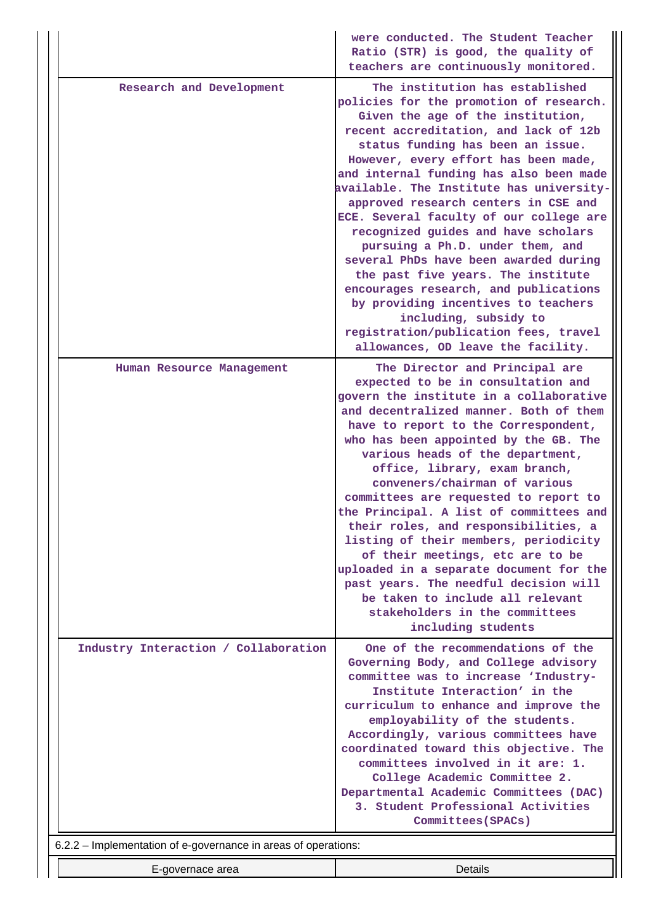|                                                                | were conducted. The Student Teacher<br>Ratio (STR) is good, the quality of<br>teachers are continuously monitored.                                                                                                                                                                                                                                                                                                                                                                                                                                                                                                                                                                                                                                                |
|----------------------------------------------------------------|-------------------------------------------------------------------------------------------------------------------------------------------------------------------------------------------------------------------------------------------------------------------------------------------------------------------------------------------------------------------------------------------------------------------------------------------------------------------------------------------------------------------------------------------------------------------------------------------------------------------------------------------------------------------------------------------------------------------------------------------------------------------|
| Research and Development                                       | The institution has established<br>policies for the promotion of research.<br>Given the age of the institution,<br>recent accreditation, and lack of 12b<br>status funding has been an issue.<br>However, every effort has been made,<br>and internal funding has also been made<br>available. The Institute has university-<br>approved research centers in CSE and<br>ECE. Several faculty of our college are<br>recognized guides and have scholars<br>pursuing a Ph.D. under them, and<br>several PhDs have been awarded during<br>the past five years. The institute<br>encourages research, and publications<br>by providing incentives to teachers<br>including, subsidy to<br>registration/publication fees, travel<br>allowances, OD leave the facility. |
| Human Resource Management                                      | The Director and Principal are<br>expected to be in consultation and<br>govern the institute in a collaborative<br>and decentralized manner. Both of them<br>have to report to the Correspondent,<br>who has been appointed by the GB. The<br>various heads of the department,<br>office, library, exam branch,<br>conveners/chairman of various<br>committees are requested to report to<br>the Principal. A list of committees and<br>their roles, and responsibilities, a<br>listing of their members, periodicity<br>of their meetings, etc are to be<br>uploaded in a separate document for the<br>past years. The needful decision will<br>be taken to include all relevant<br>stakeholders in the committees<br>including students                         |
| Industry Interaction / Collaboration                           | One of the recommendations of the<br>Governing Body, and College advisory<br>committee was to increase 'Industry-<br>Institute Interaction' in the<br>curriculum to enhance and improve the<br>employability of the students.<br>Accordingly, various committees have<br>coordinated toward this objective. The<br>committees involved in it are: 1.<br>College Academic Committee 2.<br>Departmental Academic Committees (DAC)<br>3. Student Professional Activities<br>Committees (SPACs)                                                                                                                                                                                                                                                                       |
| 6.2.2 - Implementation of e-governance in areas of operations: |                                                                                                                                                                                                                                                                                                                                                                                                                                                                                                                                                                                                                                                                                                                                                                   |
| E-governace area                                               | <b>Details</b>                                                                                                                                                                                                                                                                                                                                                                                                                                                                                                                                                                                                                                                                                                                                                    |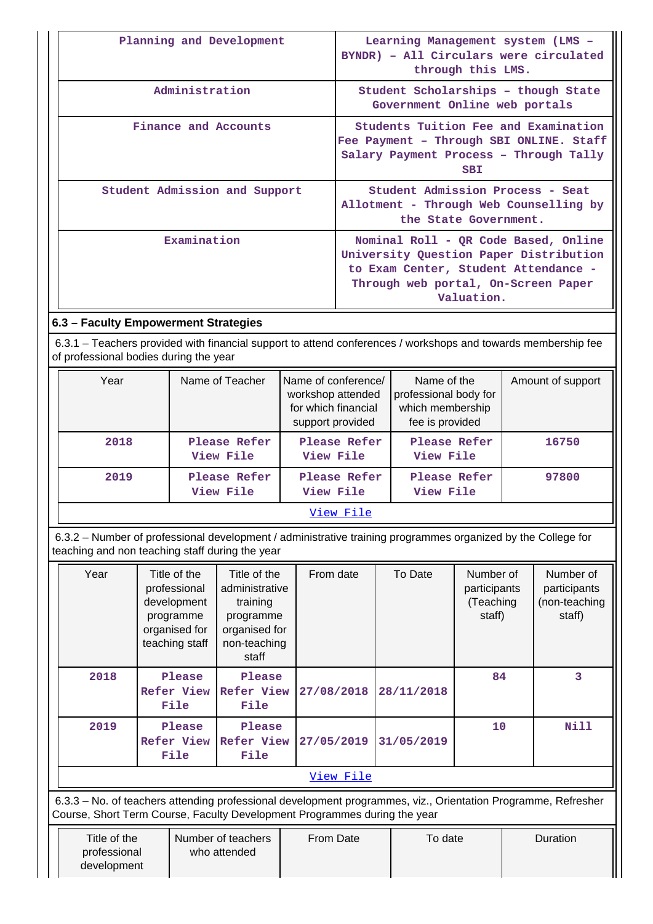| Planning and Development             | Learning Management system (LMS -<br>BYNDR) - All Circulars were circulated<br>through this LMS.                                                                            |
|--------------------------------------|-----------------------------------------------------------------------------------------------------------------------------------------------------------------------------|
| Administration                       | Student Scholarships - though State<br>Government Online web portals                                                                                                        |
| Finance and Accounts                 | Students Tuition Fee and Examination<br>Fee Payment - Through SBI ONLINE. Staff<br>Salary Payment Process - Through Tally<br><b>SBI</b>                                     |
| Student Admission and Support        | Student Admission Process - Seat<br>Allotment - Through Web Counselling by<br>the State Government.                                                                         |
| Examination                          | Nominal Roll - QR Code Based, Online<br>University Question Paper Distribution<br>to Exam Center, Student Attendance -<br>Through web portal, On-Screen Paper<br>Valuation. |
| 6.3 - Faculty Empowerment Strategies |                                                                                                                                                                             |

 6.3.1 – Teachers provided with financial support to attend conferences / workshops and towards membership fee of professional bodies during the year

| Year | Name of Teacher           | Name of conference/<br>workshop attended<br>for which financial<br>support provided | Name of the<br>professional body for<br>which membership<br>fee is provided | Amount of support |
|------|---------------------------|-------------------------------------------------------------------------------------|-----------------------------------------------------------------------------|-------------------|
| 2018 | Please Refer<br>View File | Please Refer<br>View File                                                           | Please Refer<br>View File                                                   | 16750             |
| 2019 | Please Refer<br>View File | Please Refer<br>View File                                                           | Please Refer<br>View File                                                   | 97800             |
|      |                           | View File                                                                           |                                                                             |                   |

 6.3.2 – Number of professional development / administrative training programmes organized by the College for teaching and non teaching staff during the year

| Year      | Title of the<br>professional<br>development<br>programme<br>organised for<br>teaching staff | Title of the<br>From date<br>To Date<br>administrative<br>training<br>programme<br>organised for<br>non-teaching<br>staff |            |            | Number of<br>participants<br>(Teaching<br>staff) | Number of<br>participants<br>(non-teaching<br>staff) |  |  |  |  |
|-----------|---------------------------------------------------------------------------------------------|---------------------------------------------------------------------------------------------------------------------------|------------|------------|--------------------------------------------------|------------------------------------------------------|--|--|--|--|
| 2018      | Please<br>Refer View<br>File                                                                | Please<br>Refer View<br>File                                                                                              | 27/08/2018 | 28/11/2018 | 84                                               | 3                                                    |  |  |  |  |
| 2019      | Please<br><b>Refer View</b><br>File                                                         | Please<br>Refer View<br>File                                                                                              | 27/05/2019 | 31/05/2019 | 10                                               | <b>Nill</b>                                          |  |  |  |  |
| View File |                                                                                             |                                                                                                                           |            |            |                                                  |                                                      |  |  |  |  |

 6.3.3 – No. of teachers attending professional development programmes, viz., Orientation Programme, Refresher Course, Short Term Course, Faculty Development Programmes during the year

| Title of the | Number of teachers | From Date | To date | Duration |
|--------------|--------------------|-----------|---------|----------|
| professional | who attended       |           |         |          |
| development  |                    |           |         |          |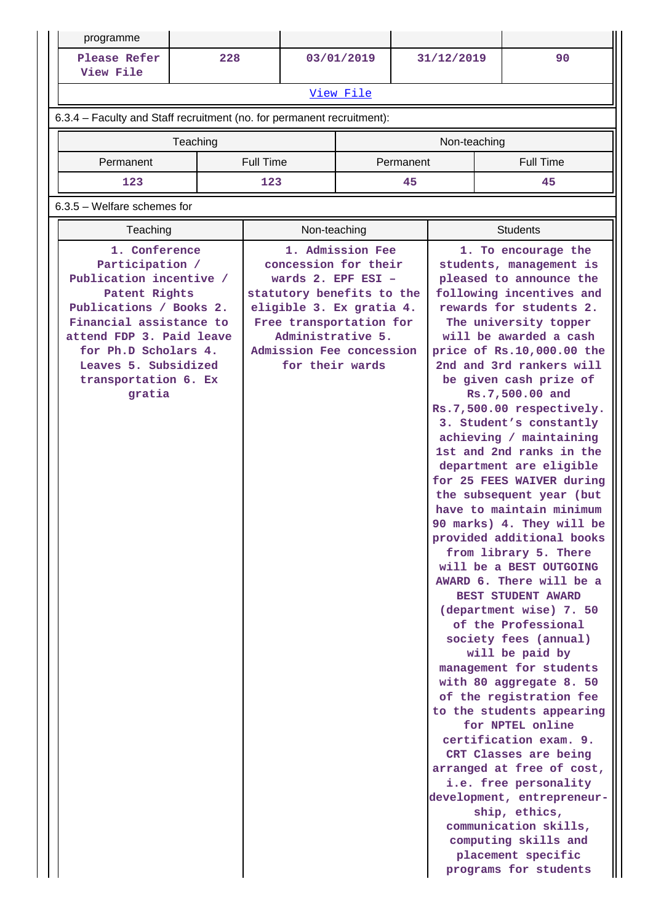| programme                                                                                                                                                                                                                                        |          |                  |                                                                                                                                                                                                      |                  |           |              |                                                                                                                                                                                                                                                                                                                                                                                                                                                                                                                                                                                                                                                                                                                                                                                                                                                                                                                                                                                                                                                                                                                                                                                         |
|--------------------------------------------------------------------------------------------------------------------------------------------------------------------------------------------------------------------------------------------------|----------|------------------|------------------------------------------------------------------------------------------------------------------------------------------------------------------------------------------------------|------------------|-----------|--------------|-----------------------------------------------------------------------------------------------------------------------------------------------------------------------------------------------------------------------------------------------------------------------------------------------------------------------------------------------------------------------------------------------------------------------------------------------------------------------------------------------------------------------------------------------------------------------------------------------------------------------------------------------------------------------------------------------------------------------------------------------------------------------------------------------------------------------------------------------------------------------------------------------------------------------------------------------------------------------------------------------------------------------------------------------------------------------------------------------------------------------------------------------------------------------------------------|
| Please Refer<br>View File                                                                                                                                                                                                                        | 228      |                  |                                                                                                                                                                                                      | 03/01/2019       |           | 31/12/2019   | 90                                                                                                                                                                                                                                                                                                                                                                                                                                                                                                                                                                                                                                                                                                                                                                                                                                                                                                                                                                                                                                                                                                                                                                                      |
|                                                                                                                                                                                                                                                  |          |                  |                                                                                                                                                                                                      | View File        |           |              |                                                                                                                                                                                                                                                                                                                                                                                                                                                                                                                                                                                                                                                                                                                                                                                                                                                                                                                                                                                                                                                                                                                                                                                         |
| 6.3.4 - Faculty and Staff recruitment (no. for permanent recruitment):                                                                                                                                                                           |          |                  |                                                                                                                                                                                                      |                  |           |              |                                                                                                                                                                                                                                                                                                                                                                                                                                                                                                                                                                                                                                                                                                                                                                                                                                                                                                                                                                                                                                                                                                                                                                                         |
|                                                                                                                                                                                                                                                  | Teaching |                  |                                                                                                                                                                                                      |                  |           | Non-teaching |                                                                                                                                                                                                                                                                                                                                                                                                                                                                                                                                                                                                                                                                                                                                                                                                                                                                                                                                                                                                                                                                                                                                                                                         |
| Permanent                                                                                                                                                                                                                                        |          | <b>Full Time</b> |                                                                                                                                                                                                      |                  | Permanent |              | <b>Full Time</b>                                                                                                                                                                                                                                                                                                                                                                                                                                                                                                                                                                                                                                                                                                                                                                                                                                                                                                                                                                                                                                                                                                                                                                        |
| 123                                                                                                                                                                                                                                              |          | 123              |                                                                                                                                                                                                      |                  | 45        |              | 45                                                                                                                                                                                                                                                                                                                                                                                                                                                                                                                                                                                                                                                                                                                                                                                                                                                                                                                                                                                                                                                                                                                                                                                      |
| $6.3.5$ – Welfare schemes for                                                                                                                                                                                                                    |          |                  |                                                                                                                                                                                                      |                  |           |              |                                                                                                                                                                                                                                                                                                                                                                                                                                                                                                                                                                                                                                                                                                                                                                                                                                                                                                                                                                                                                                                                                                                                                                                         |
| Teaching                                                                                                                                                                                                                                         |          |                  | Non-teaching                                                                                                                                                                                         |                  |           |              | <b>Students</b>                                                                                                                                                                                                                                                                                                                                                                                                                                                                                                                                                                                                                                                                                                                                                                                                                                                                                                                                                                                                                                                                                                                                                                         |
| 1. Conference<br>Participation /<br>Publication incentive /<br>Patent Rights<br>Publications / Books 2.<br>Financial assistance to<br>attend FDP 3. Paid leave<br>for Ph.D Scholars 4.<br>Leaves 5. Subsidized<br>transportation 6. Ex<br>gratia |          |                  | concession for their<br>wards $2.$ EPF ESI -<br>statutory benefits to the<br>eligible 3. Ex gratia 4.<br>Free transportation for<br>Administrative 5.<br>Admission Fee concession<br>for their wards | 1. Admission Fee |           |              | 1. To encourage the<br>students, management is<br>pleased to announce the<br>following incentives and<br>rewards for students 2.<br>The university topper<br>will be awarded a cash<br>price of Rs.10,000.00 the<br>2nd and 3rd rankers will<br>be given cash prize of<br>Rs.7,500.00 and<br>Rs.7,500.00 respectively.<br>3. Student's constantly<br>achieving / maintaining<br>1st and 2nd ranks in the<br>department are eligible<br>for 25 FEES WAIVER during<br>the subsequent year (but<br>have to maintain minimum<br>90 marks) 4. They will be<br>provided additional books<br>from library 5. There<br>will be a BEST OUTGOING<br>AWARD 6. There will be a<br><b>BEST STUDENT AWARD</b><br>(department wise) 7. 50<br>of the Professional<br>society fees (annual)<br>will be paid by<br>management for students<br>with 80 aggregate 8. 50<br>of the registration fee<br>to the students appearing<br>for NPTEL online<br>certification exam. 9.<br>CRT Classes are being<br>arranged at free of cost,<br>i.e. free personality<br>development, entrepreneur-<br>ship, ethics,<br>communication skills,<br>computing skills and<br>placement specific<br>programs for students |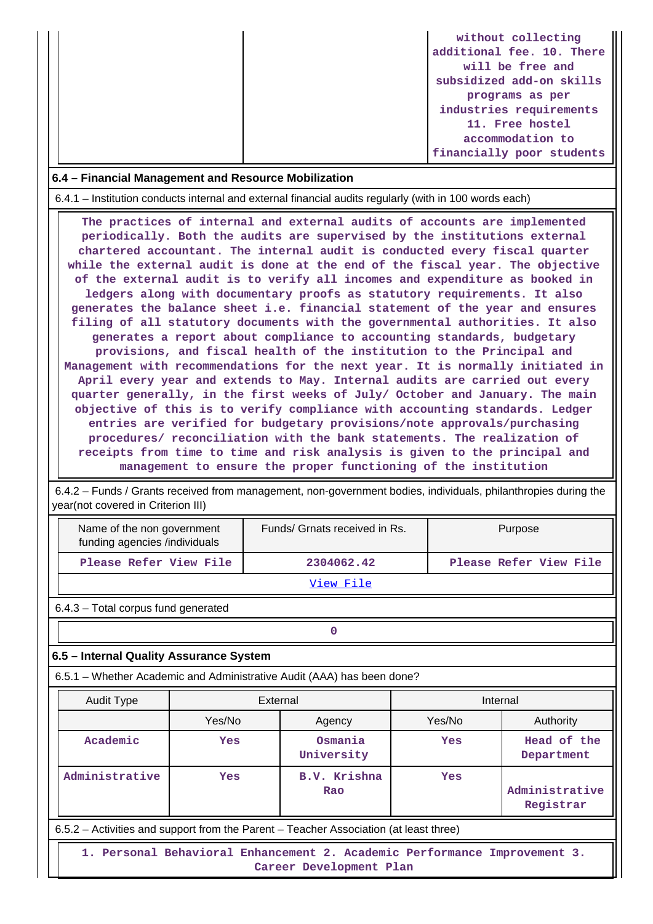|  | without collecting        |
|--|---------------------------|
|  | additional fee. 10. There |
|  | will be free and          |
|  | subsidized add-on skills  |
|  | programs as per           |
|  | industries requirements   |
|  | 11. Free hostel           |
|  | accommodation to          |
|  | financially poor students |

#### **6.4 – Financial Management and Resource Mobilization**

6.4.1 – Institution conducts internal and external financial audits regularly (with in 100 words each)

 **The practices of internal and external audits of accounts are implemented periodically. Both the audits are supervised by the institutions external chartered accountant. The internal audit is conducted every fiscal quarter while the external audit is done at the end of the fiscal year. The objective of the external audit is to verify all incomes and expenditure as booked in ledgers along with documentary proofs as statutory requirements. It also generates the balance sheet i.e. financial statement of the year and ensures filing of all statutory documents with the governmental authorities. It also generates a report about compliance to accounting standards, budgetary provisions, and fiscal health of the institution to the Principal and Management with recommendations for the next year. It is normally initiated in April every year and extends to May. Internal audits are carried out every quarter generally, in the first weeks of July/ October and January. The main objective of this is to verify compliance with accounting standards. Ledger entries are verified for budgetary provisions/note approvals/purchasing procedures/ reconciliation with the bank statements. The realization of receipts from time to time and risk analysis is given to the principal and management to ensure the proper functioning of the institution**

 6.4.2 – Funds / Grants received from management, non-government bodies, individuals, philanthropies during the vear(not covered in Criterion III)

| Name of the non government<br>funding agencies /individuals                           |     | Funds/ Grnats received in Rs. |  |                        | Purpose                   |  |  |  |
|---------------------------------------------------------------------------------------|-----|-------------------------------|--|------------------------|---------------------------|--|--|--|
| Please Refer View File                                                                |     | 2304062.42                    |  | Please Refer View File |                           |  |  |  |
| View File                                                                             |     |                               |  |                        |                           |  |  |  |
| 6.4.3 - Total corpus fund generated                                                   |     |                               |  |                        |                           |  |  |  |
| $\Omega$                                                                              |     |                               |  |                        |                           |  |  |  |
| 6.5 - Internal Quality Assurance System                                               |     |                               |  |                        |                           |  |  |  |
| 6.5.1 – Whether Academic and Administrative Audit (AAA) has been done?                |     |                               |  |                        |                           |  |  |  |
| Audit Type                                                                            |     | External                      |  | Internal               |                           |  |  |  |
| Yes/No                                                                                |     | Agency                        |  | Yes/No                 | Authority                 |  |  |  |
| Academic                                                                              | Yes | Osmania<br>University         |  | Yes                    | Head of the<br>Department |  |  |  |
| Administrative<br>B.V. Krishna<br>Yes<br>Yes<br>Administrative<br>Rao<br>Registrar    |     |                               |  |                        |                           |  |  |  |
| 6.5.2 – Activities and support from the Parent – Teacher Association (at least three) |     |                               |  |                        |                           |  |  |  |
| 1. Personal Behavioral Enhancement 2. Academic Performance Improvement 3.             |     | Career Development Plan       |  |                        |                           |  |  |  |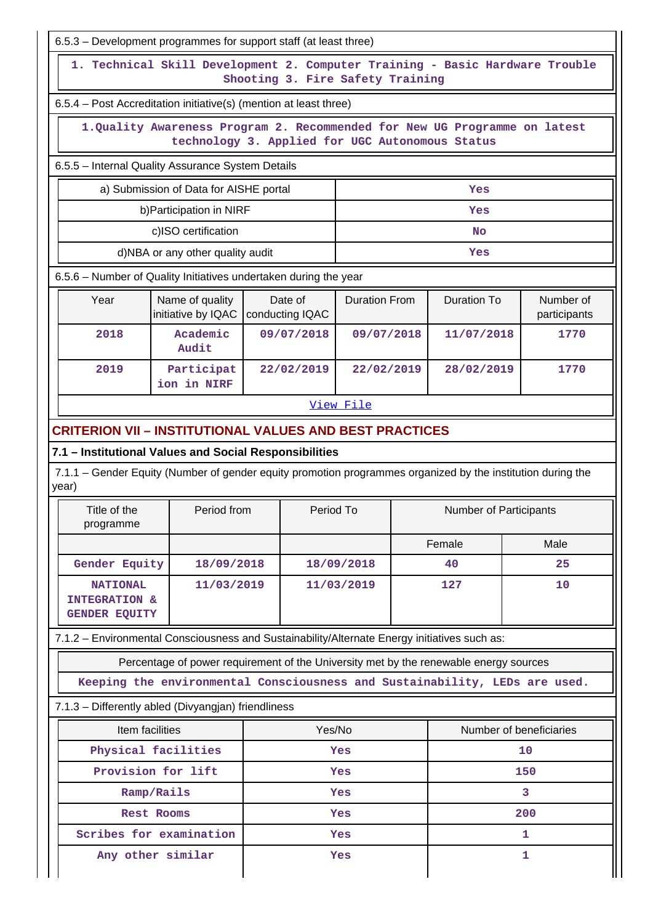| 6.5.3 – Development programmes for support staff (at least three)                                                    |                                                                                                                               |                            |            |                               |            |                    |                           |  |  |  |
|----------------------------------------------------------------------------------------------------------------------|-------------------------------------------------------------------------------------------------------------------------------|----------------------------|------------|-------------------------------|------------|--------------------|---------------------------|--|--|--|
|                                                                                                                      | 1. Technical Skill Development 2. Computer Training - Basic Hardware Trouble<br>Shooting 3. Fire Safety Training              |                            |            |                               |            |                    |                           |  |  |  |
| 6.5.4 - Post Accreditation initiative(s) (mention at least three)                                                    |                                                                                                                               |                            |            |                               |            |                    |                           |  |  |  |
|                                                                                                                      | 1. Quality Awareness Program 2. Recommended for New UG Programme on latest<br>technology 3. Applied for UGC Autonomous Status |                            |            |                               |            |                    |                           |  |  |  |
| 6.5.5 - Internal Quality Assurance System Details                                                                    |                                                                                                                               |                            |            |                               |            |                    |                           |  |  |  |
|                                                                                                                      | a) Submission of Data for AISHE portal                                                                                        |                            |            |                               |            | Yes                |                           |  |  |  |
|                                                                                                                      | b) Participation in NIRF                                                                                                      |                            |            |                               |            | Yes                |                           |  |  |  |
|                                                                                                                      | c)ISO certification                                                                                                           |                            |            |                               |            | <b>No</b>          |                           |  |  |  |
|                                                                                                                      | d)NBA or any other quality audit                                                                                              |                            |            |                               |            | Yes                |                           |  |  |  |
| 6.5.6 - Number of Quality Initiatives undertaken during the year                                                     |                                                                                                                               |                            |            |                               |            |                    |                           |  |  |  |
| Year                                                                                                                 | Name of quality<br>initiative by IQAC                                                                                         | Date of<br>conducting IQAC |            | <b>Duration From</b>          |            | <b>Duration To</b> | Number of<br>participants |  |  |  |
| 2018                                                                                                                 | Academic<br>Audit                                                                                                             | 09/07/2018                 |            |                               | 09/07/2018 | 11/07/2018         | 1770                      |  |  |  |
| 2019                                                                                                                 | Participat<br>ion in NIRF                                                                                                     |                            | 22/02/2019 | 22/02/2019                    |            | 28/02/2019         | 1770                      |  |  |  |
|                                                                                                                      |                                                                                                                               |                            |            | View File                     |            |                    |                           |  |  |  |
| <b>CRITERION VII - INSTITUTIONAL VALUES AND BEST PRACTICES</b>                                                       |                                                                                                                               |                            |            |                               |            |                    |                           |  |  |  |
| 7.1 - Institutional Values and Social Responsibilities                                                               |                                                                                                                               |                            |            |                               |            |                    |                           |  |  |  |
| 7.1.1 – Gender Equity (Number of gender equity promotion programmes organized by the institution during the<br>year) |                                                                                                                               |                            |            |                               |            |                    |                           |  |  |  |
| Title of the<br>programme                                                                                            | Period from                                                                                                                   |                            | Period To  | <b>Number of Participants</b> |            |                    |                           |  |  |  |
|                                                                                                                      |                                                                                                                               |                            |            | Female                        |            | Male               |                           |  |  |  |
| Gender Equity                                                                                                        | 18/09/2018                                                                                                                    |                            | 18/09/2018 |                               |            | 40                 | 25                        |  |  |  |
| <b>NATIONAL</b><br><b>INTEGRATION &amp;</b><br><b>GENDER EQUITY</b>                                                  | 11/03/2019                                                                                                                    | 11/03/2019                 |            |                               |            | 127                | 10                        |  |  |  |
| 7.1.2 - Environmental Consciousness and Sustainability/Alternate Energy initiatives such as:                         |                                                                                                                               |                            |            |                               |            |                    |                           |  |  |  |
|                                                                                                                      | Percentage of power requirement of the University met by the renewable energy sources                                         |                            |            |                               |            |                    |                           |  |  |  |
|                                                                                                                      | Keeping the environmental Consciousness and Sustainability, LEDs are used.                                                    |                            |            |                               |            |                    |                           |  |  |  |
| 7.1.3 - Differently abled (Divyangjan) friendliness                                                                  |                                                                                                                               |                            |            |                               |            |                    |                           |  |  |  |
|                                                                                                                      | Item facilities                                                                                                               |                            | Yes/No     |                               |            |                    | Number of beneficiaries   |  |  |  |
|                                                                                                                      | Physical facilities                                                                                                           |                            |            | Yes                           |            |                    | 10                        |  |  |  |
|                                                                                                                      | Provision for lift                                                                                                            |                            |            | Yes                           |            |                    | 150                       |  |  |  |
|                                                                                                                      | Ramp/Rails                                                                                                                    |                            |            | Yes                           |            |                    | 3                         |  |  |  |
|                                                                                                                      | Rest Rooms                                                                                                                    |                            |            | Yes                           |            |                    | 200                       |  |  |  |
|                                                                                                                      | Scribes for examination                                                                                                       |                            |            | Yes                           |            |                    | 1                         |  |  |  |
| Any other similar<br>1<br>Yes                                                                                        |                                                                                                                               |                            |            |                               |            |                    |                           |  |  |  |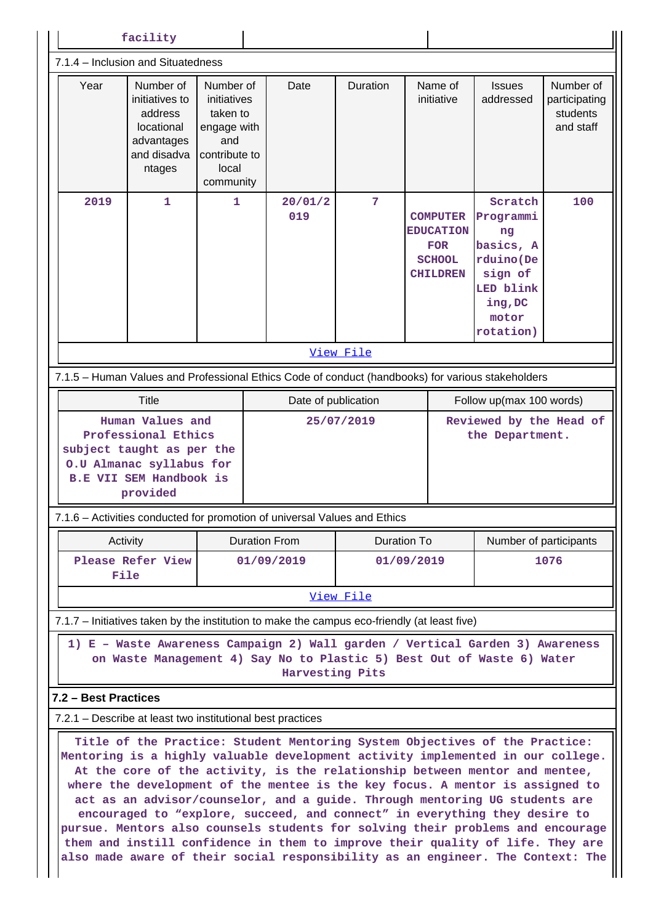| facility                                                                                                                                                                                                                                                                                                                                                                                                                                                                                                                                                                                                                                                                                                                                                                                                          |                                                                                             |                                                                                                   |  |                                                                                                                                                                            |                         |  |                                                                                       |                                                                                                               |                                                     |
|-------------------------------------------------------------------------------------------------------------------------------------------------------------------------------------------------------------------------------------------------------------------------------------------------------------------------------------------------------------------------------------------------------------------------------------------------------------------------------------------------------------------------------------------------------------------------------------------------------------------------------------------------------------------------------------------------------------------------------------------------------------------------------------------------------------------|---------------------------------------------------------------------------------------------|---------------------------------------------------------------------------------------------------|--|----------------------------------------------------------------------------------------------------------------------------------------------------------------------------|-------------------------|--|---------------------------------------------------------------------------------------|---------------------------------------------------------------------------------------------------------------|-----------------------------------------------------|
| 7.1.4 - Inclusion and Situatedness                                                                                                                                                                                                                                                                                                                                                                                                                                                                                                                                                                                                                                                                                                                                                                                |                                                                                             |                                                                                                   |  |                                                                                                                                                                            |                         |  |                                                                                       |                                                                                                               |                                                     |
| Year                                                                                                                                                                                                                                                                                                                                                                                                                                                                                                                                                                                                                                                                                                                                                                                                              | Number of<br>initiatives to<br>address<br>locational<br>advantages<br>and disadva<br>ntages | Number of<br>initiatives<br>taken to<br>engage with<br>and<br>contribute to<br>local<br>community |  | Date                                                                                                                                                                       | Duration                |  | Name of<br>initiative                                                                 | <b>Issues</b><br>addressed                                                                                    | Number of<br>participating<br>students<br>and staff |
| 2019                                                                                                                                                                                                                                                                                                                                                                                                                                                                                                                                                                                                                                                                                                                                                                                                              | $\mathbf{1}$                                                                                | 1                                                                                                 |  | 20/01/2<br>019                                                                                                                                                             | $\overline{7}$          |  | <b>COMPUTER</b><br><b>EDUCATION</b><br><b>FOR</b><br><b>SCHOOL</b><br><b>CHILDREN</b> | Scratch<br>Programmi<br>ng<br>basics, A<br>rduino(De<br>sign of<br>LED blink<br>ing, DC<br>motor<br>rotation) | 100                                                 |
| View File                                                                                                                                                                                                                                                                                                                                                                                                                                                                                                                                                                                                                                                                                                                                                                                                         |                                                                                             |                                                                                                   |  |                                                                                                                                                                            |                         |  |                                                                                       |                                                                                                               |                                                     |
| 7.1.5 - Human Values and Professional Ethics Code of conduct (handbooks) for various stakeholders                                                                                                                                                                                                                                                                                                                                                                                                                                                                                                                                                                                                                                                                                                                 |                                                                                             |                                                                                                   |  |                                                                                                                                                                            |                         |  |                                                                                       |                                                                                                               |                                                     |
| Title<br>Date of publication<br>Follow up(max 100 words)                                                                                                                                                                                                                                                                                                                                                                                                                                                                                                                                                                                                                                                                                                                                                          |                                                                                             |                                                                                                   |  |                                                                                                                                                                            |                         |  |                                                                                       |                                                                                                               |                                                     |
| Human Values and<br>Reviewed by the Head of<br>25/07/2019<br>Professional Ethics<br>the Department.<br>subject taught as per the<br>O.U Almanac syllabus for<br><b>B.E VII SEM Handbook is</b><br>provided<br>7.1.6 - Activities conducted for promotion of universal Values and Ethics                                                                                                                                                                                                                                                                                                                                                                                                                                                                                                                           |                                                                                             |                                                                                                   |  |                                                                                                                                                                            |                         |  |                                                                                       |                                                                                                               |                                                     |
| Activity                                                                                                                                                                                                                                                                                                                                                                                                                                                                                                                                                                                                                                                                                                                                                                                                          |                                                                                             |                                                                                                   |  | <b>Duration From</b>                                                                                                                                                       | Duration To             |  |                                                                                       | Number of participants                                                                                        |                                                     |
| File                                                                                                                                                                                                                                                                                                                                                                                                                                                                                                                                                                                                                                                                                                                                                                                                              | Please Refer View                                                                           |                                                                                                   |  | 01/09/2019                                                                                                                                                                 | 01/09/2019<br>View File |  |                                                                                       |                                                                                                               | 1076                                                |
| 7.1.7 – Initiatives taken by the institution to make the campus eco-friendly (at least five)                                                                                                                                                                                                                                                                                                                                                                                                                                                                                                                                                                                                                                                                                                                      |                                                                                             |                                                                                                   |  |                                                                                                                                                                            |                         |  |                                                                                       |                                                                                                               |                                                     |
|                                                                                                                                                                                                                                                                                                                                                                                                                                                                                                                                                                                                                                                                                                                                                                                                                   |                                                                                             |                                                                                                   |  | 1) E - Waste Awareness Campaign 2) Wall garden / Vertical Garden 3) Awareness<br>on Waste Management 4) Say No to Plastic 5) Best Out of Waste 6) Water<br>Harvesting Pits |                         |  |                                                                                       |                                                                                                               |                                                     |
| 7.2 - Best Practices                                                                                                                                                                                                                                                                                                                                                                                                                                                                                                                                                                                                                                                                                                                                                                                              |                                                                                             |                                                                                                   |  |                                                                                                                                                                            |                         |  |                                                                                       |                                                                                                               |                                                     |
|                                                                                                                                                                                                                                                                                                                                                                                                                                                                                                                                                                                                                                                                                                                                                                                                                   |                                                                                             |                                                                                                   |  |                                                                                                                                                                            |                         |  |                                                                                       |                                                                                                               |                                                     |
| 7.2.1 - Describe at least two institutional best practices<br>Title of the Practice: Student Mentoring System Objectives of the Practice:<br>Mentoring is a highly valuable development activity implemented in our college.<br>At the core of the activity, is the relationship between mentor and mentee,<br>where the development of the mentee is the key focus. A mentor is assigned to<br>act as an advisor/counselor, and a guide. Through mentoring UG students are<br>encouraged to "explore, succeed, and connect" in everything they desire to<br>pursue. Mentors also counsels students for solving their problems and encourage<br>them and instill confidence in them to improve their quality of life. They are<br>also made aware of their social responsibility as an engineer. The Context: The |                                                                                             |                                                                                                   |  |                                                                                                                                                                            |                         |  |                                                                                       |                                                                                                               |                                                     |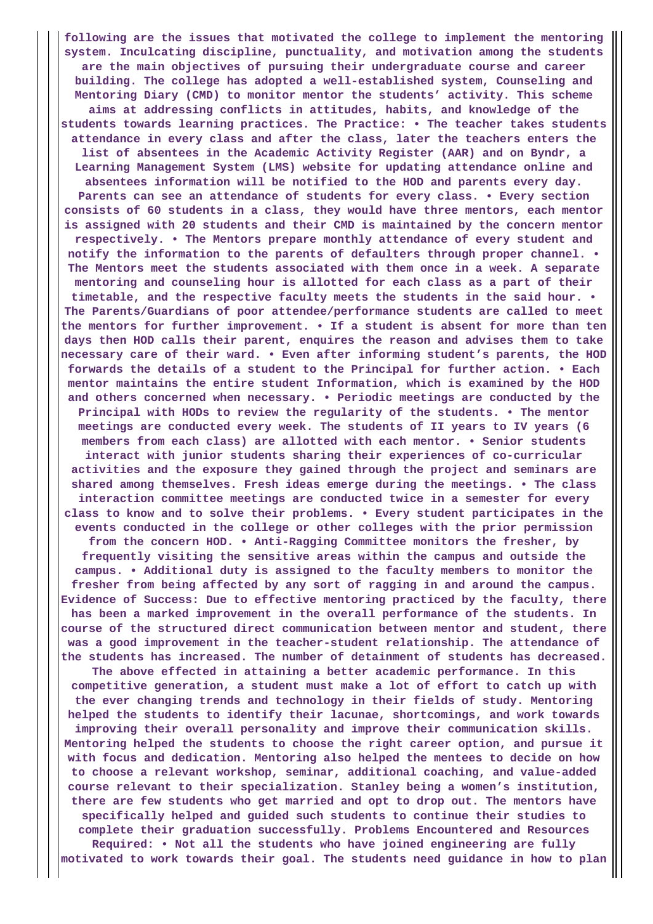**following are the issues that motivated the college to implement the mentoring system. Inculcating discipline, punctuality, and motivation among the students are the main objectives of pursuing their undergraduate course and career building. The college has adopted a well-established system, Counseling and Mentoring Diary (CMD) to monitor mentor the students' activity. This scheme aims at addressing conflicts in attitudes, habits, and knowledge of the students towards learning practices. The Practice: • The teacher takes students attendance in every class and after the class, later the teachers enters the list of absentees in the Academic Activity Register (AAR) and on Byndr, a Learning Management System (LMS) website for updating attendance online and absentees information will be notified to the HOD and parents every day. Parents can see an attendance of students for every class. • Every section consists of 60 students in a class, they would have three mentors, each mentor is assigned with 20 students and their CMD is maintained by the concern mentor respectively. • The Mentors prepare monthly attendance of every student and notify the information to the parents of defaulters through proper channel. • The Mentors meet the students associated with them once in a week. A separate mentoring and counseling hour is allotted for each class as a part of their timetable, and the respective faculty meets the students in the said hour. • The Parents/Guardians of poor attendee/performance students are called to meet the mentors for further improvement. • If a student is absent for more than ten days then HOD calls their parent, enquires the reason and advises them to take necessary care of their ward. • Even after informing student's parents, the HOD forwards the details of a student to the Principal for further action. • Each mentor maintains the entire student Information, which is examined by the HOD and others concerned when necessary. • Periodic meetings are conducted by the Principal with HODs to review the regularity of the students. • The mentor meetings are conducted every week. The students of II years to IV years (6 members from each class) are allotted with each mentor. • Senior students interact with junior students sharing their experiences of co-curricular activities and the exposure they gained through the project and seminars are shared among themselves. Fresh ideas emerge during the meetings. • The class interaction committee meetings are conducted twice in a semester for every class to know and to solve their problems. • Every student participates in the events conducted in the college or other colleges with the prior permission from the concern HOD. • Anti-Ragging Committee monitors the fresher, by frequently visiting the sensitive areas within the campus and outside the campus. • Additional duty is assigned to the faculty members to monitor the fresher from being affected by any sort of ragging in and around the campus. Evidence of Success: Due to effective mentoring practiced by the faculty, there has been a marked improvement in the overall performance of the students. In course of the structured direct communication between mentor and student, there was a good improvement in the teacher-student relationship. The attendance of the students has increased. The number of detainment of students has decreased. The above effected in attaining a better academic performance. In this competitive generation, a student must make a lot of effort to catch up with the ever changing trends and technology in their fields of study. Mentoring helped the students to identify their lacunae, shortcomings, and work towards improving their overall personality and improve their communication skills. Mentoring helped the students to choose the right career option, and pursue it with focus and dedication. Mentoring also helped the mentees to decide on how to choose a relevant workshop, seminar, additional coaching, and value-added course relevant to their specialization. Stanley being a women's institution, there are few students who get married and opt to drop out. The mentors have specifically helped and guided such students to continue their studies to complete their graduation successfully. Problems Encountered and Resources Required: • Not all the students who have joined engineering are fully motivated to work towards their goal. The students need guidance in how to plan**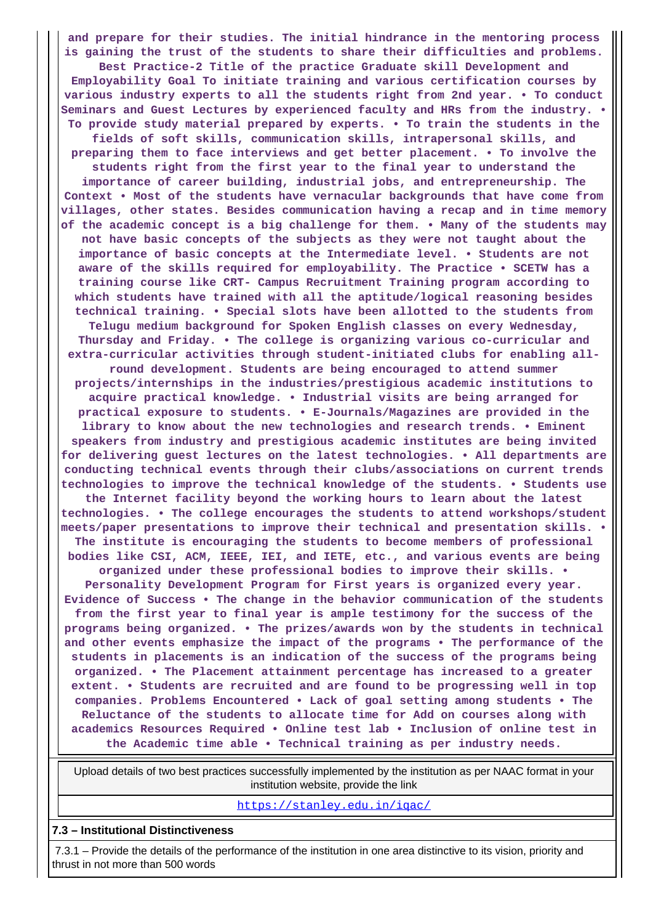**and prepare for their studies. The initial hindrance in the mentoring process is gaining the trust of the students to share their difficulties and problems. Best Practice-2 Title of the practice Graduate skill Development and Employability Goal To initiate training and various certification courses by various industry experts to all the students right from 2nd year. • To conduct Seminars and Guest Lectures by experienced faculty and HRs from the industry. • To provide study material prepared by experts. • To train the students in the fields of soft skills, communication skills, intrapersonal skills, and preparing them to face interviews and get better placement. • To involve the students right from the first year to the final year to understand the importance of career building, industrial jobs, and entrepreneurship. The Context • Most of the students have vernacular backgrounds that have come from villages, other states. Besides communication having a recap and in time memory of the academic concept is a big challenge for them. • Many of the students may not have basic concepts of the subjects as they were not taught about the importance of basic concepts at the Intermediate level. • Students are not aware of the skills required for employability. The Practice • SCETW has a training course like CRT- Campus Recruitment Training program according to which students have trained with all the aptitude/logical reasoning besides technical training. • Special slots have been allotted to the students from Telugu medium background for Spoken English classes on every Wednesday, Thursday and Friday. • The college is organizing various co-curricular and extra-curricular activities through student-initiated clubs for enabling allround development. Students are being encouraged to attend summer projects/internships in the industries/prestigious academic institutions to acquire practical knowledge. • Industrial visits are being arranged for practical exposure to students. • E-Journals/Magazines are provided in the library to know about the new technologies and research trends. • Eminent speakers from industry and prestigious academic institutes are being invited for delivering guest lectures on the latest technologies. • All departments are conducting technical events through their clubs/associations on current trends technologies to improve the technical knowledge of the students. • Students use the Internet facility beyond the working hours to learn about the latest technologies. • The college encourages the students to attend workshops/student meets/paper presentations to improve their technical and presentation skills. • The institute is encouraging the students to become members of professional bodies like CSI, ACM, IEEE, IEI, and IETE, etc., and various events are being organized under these professional bodies to improve their skills. • Personality Development Program for First years is organized every year. Evidence of Success • The change in the behavior communication of the students from the first year to final year is ample testimony for the success of the programs being organized. • The prizes/awards won by the students in technical and other events emphasize the impact of the programs • The performance of the students in placements is an indication of the success of the programs being organized. • The Placement attainment percentage has increased to a greater extent. • Students are recruited and are found to be progressing well in top companies. Problems Encountered • Lack of goal setting among students • The Reluctance of the students to allocate time for Add on courses along with academics Resources Required • Online test lab • Inclusion of online test in the Academic time able • Technical training as per industry needs.**

 Upload details of two best practices successfully implemented by the institution as per NAAC format in your institution website, provide the link

<https://stanley.edu.in/iqac/>

**7.3 – Institutional Distinctiveness**

 7.3.1 – Provide the details of the performance of the institution in one area distinctive to its vision, priority and thrust in not more than 500 words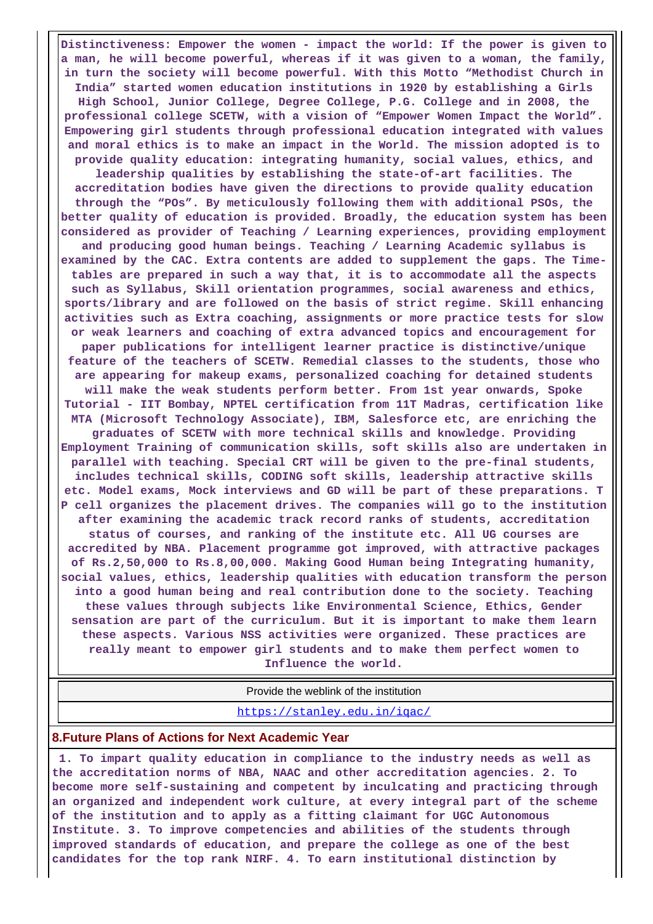**Distinctiveness: Empower the women - impact the world: If the power is given to a man, he will become powerful, whereas if it was given to a woman, the family, in turn the society will become powerful. With this Motto "Methodist Church in India" started women education institutions in 1920 by establishing a Girls High School, Junior College, Degree College, P.G. College and in 2008, the professional college SCETW, with a vision of "Empower Women Impact the World". Empowering girl students through professional education integrated with values and moral ethics is to make an impact in the World. The mission adopted is to provide quality education: integrating humanity, social values, ethics, and leadership qualities by establishing the state-of-art facilities. The accreditation bodies have given the directions to provide quality education through the "POs". By meticulously following them with additional PSOs, the better quality of education is provided. Broadly, the education system has been considered as provider of Teaching / Learning experiences, providing employment and producing good human beings. Teaching / Learning Academic syllabus is examined by the CAC. Extra contents are added to supplement the gaps. The Timetables are prepared in such a way that, it is to accommodate all the aspects such as Syllabus, Skill orientation programmes, social awareness and ethics, sports/library and are followed on the basis of strict regime. Skill enhancing activities such as Extra coaching, assignments or more practice tests for slow or weak learners and coaching of extra advanced topics and encouragement for paper publications for intelligent learner practice is distinctive/unique feature of the teachers of SCETW. Remedial classes to the students, those who are appearing for makeup exams, personalized coaching for detained students will make the weak students perform better. From 1st year onwards, Spoke Tutorial - IIT Bombay, NPTEL certification from 11T Madras, certification like MTA (Microsoft Technology Associate), IBM, Salesforce etc, are enriching the graduates of SCETW with more technical skills and knowledge. Providing Employment Training of communication skills, soft skills also are undertaken in parallel with teaching. Special CRT will be given to the pre-final students, includes technical skills, CODING soft skills, leadership attractive skills etc. Model exams, Mock interviews and GD will be part of these preparations. T P cell organizes the placement drives. The companies will go to the institution after examining the academic track record ranks of students, accreditation status of courses, and ranking of the institute etc. All UG courses are accredited by NBA. Placement programme got improved, with attractive packages of Rs.2,50,000 to Rs.8,00,000. Making Good Human being Integrating humanity, social values, ethics, leadership qualities with education transform the person into a good human being and real contribution done to the society. Teaching these values through subjects like Environmental Science, Ethics, Gender sensation are part of the curriculum. But it is important to make them learn these aspects. Various NSS activities were organized. These practices are really meant to empower girl students and to make them perfect women to Influence the world.**

Provide the weblink of the institution

<https://stanley.edu.in/iqac/>

#### **8.Future Plans of Actions for Next Academic Year**

 **1. To impart quality education in compliance to the industry needs as well as the accreditation norms of NBA, NAAC and other accreditation agencies. 2. To become more self-sustaining and competent by inculcating and practicing through an organized and independent work culture, at every integral part of the scheme of the institution and to apply as a fitting claimant for UGC Autonomous Institute. 3. To improve competencies and abilities of the students through improved standards of education, and prepare the college as one of the best candidates for the top rank NIRF. 4. To earn institutional distinction by**